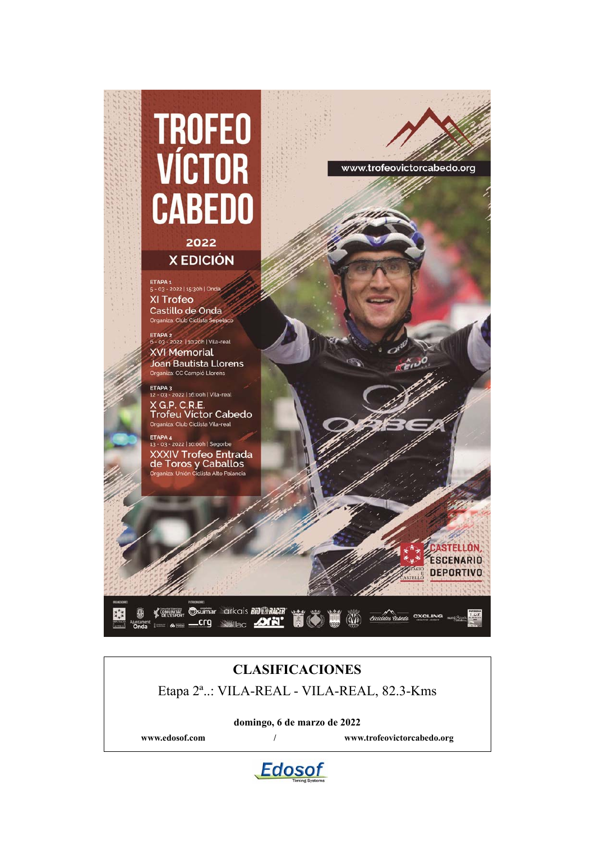

### **CLASIFICACIONES**

Etapa 2ª..: VILA-REAL - VILA-REAL, 82.3-Kms

**domingo, 6 de marzo de 2022**

**www.edosof.com / www.trofeovictorcabedo.org**

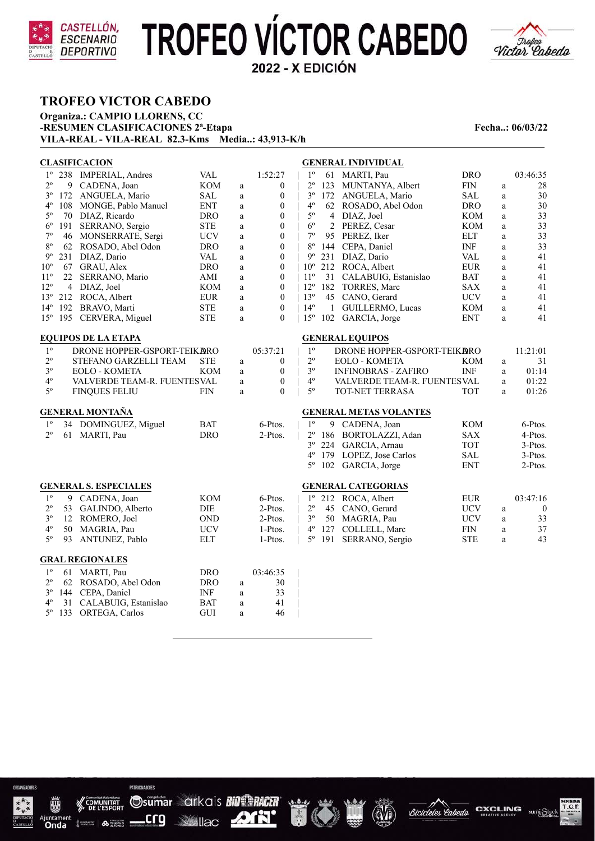



### **TROFEO VICTOR CABEDO**

**Organiza.: CAMPIO LLORENS, CC -RESUMEN CLASIFICACIONES 2<sup>ª</sup>-Etapa Fecha..: 06/03/22 VILA-REAL - VILA-REAL 82.3-Kms Media..: 43,913-K/h**

|              |                | <b>CLASIFICACION</b>         |            |          |                  | <b>GENERAL INDIVIDUAL</b>                                      |                          |
|--------------|----------------|------------------------------|------------|----------|------------------|----------------------------------------------------------------|--------------------------|
| $1^{\circ}$  |                | 238 IMPERIAL, Andres         | <b>VAL</b> |          | 1:52:27          | $1^{\circ}$<br>MARTI, Pau<br><b>DRO</b><br>61                  | 03:46:35                 |
| $2^{\circ}$  | 9              | CADENA, Joan                 | KOM        | a        | $\mathbf{0}$     | $2^{\circ}$<br>123 MUNTANYA, Albert<br><b>FIN</b>              | 28<br>a                  |
| $3^{\circ}$  |                | 172 ANGUELA, Mario           | SAL        | a        | $\boldsymbol{0}$ | $3^{\circ}$<br><b>SAL</b><br>172 ANGUELA, Mario                | 30<br>a                  |
| $4^{\circ}$  | 108            | MONGE, Pablo Manuel          | <b>ENT</b> | a        | $\mathbf{0}$     | $4^{\circ}$<br><b>DRO</b><br>62 ROSADO, Abel Odon              | 30<br>a                  |
| $5^{\circ}$  | 70             | DIAZ, Ricardo                | DRO        | a        | $\mathbf{0}$     | $5^{\circ}$<br>4 DIAZ, Joel<br>KOM                             | 33<br>a                  |
| $6^{\rm o}$  | 191            | SERRANO, Sergio              | <b>STE</b> | $\rm{a}$ | $\boldsymbol{0}$ | $6^{\circ}$<br>2 PEREZ, Cesar<br><b>KOM</b>                    | 33<br>$\rm{a}$           |
| $7^{\circ}$  | 46             | MONSERRATE, Sergi            | <b>UCV</b> | $\rm{a}$ | $\mathbf{0}$     | $7^{\circ}$<br>95 PEREZ, Iker<br><b>ELT</b>                    | 33<br>a                  |
| 80           | 62             | ROSADO, Abel Odon            | <b>DRO</b> | a        | $\boldsymbol{0}$ | $8^{\rm o}$<br>144 CEPA, Daniel<br>INF                         | 33<br>a                  |
| $9^{\circ}$  | 231            | DIAZ, Dario                  | <b>VAL</b> | a        | $\boldsymbol{0}$ | $9^{\circ}$<br><b>VAL</b><br>231 DIAZ, Dario                   | 41<br>$\rm{a}$           |
| $10^{\circ}$ |                | 67 GRAU, Alex                | <b>DRO</b> | a        | $\boldsymbol{0}$ | $10^{\circ}$<br>212 ROCA, Albert<br><b>EUR</b>                 | 41<br>$\rm{a}$           |
| $11^{\circ}$ | 22             | SERRANO, Mario               | AMI        | a        | $\boldsymbol{0}$ | $11^{\circ}$<br>31 CALABUIG, Estanislao<br><b>BAT</b>          | 41<br>a                  |
| $12^{\circ}$ | $\overline{4}$ | DIAZ, Joel                   | <b>KOM</b> | a        | $\boldsymbol{0}$ | $12^{\circ}$<br>182 TORRES, Marc<br><b>SAX</b>                 | 41<br>a                  |
| $13^{\circ}$ |                | 212 ROCA, Albert             | <b>EUR</b> | $\rm{a}$ | $\boldsymbol{0}$ | $13^{\circ}$<br><b>UCV</b><br>45 CANO, Gerard                  | 41<br>a                  |
| $14^{\circ}$ | 192            | BRAVO, Marti                 | <b>STE</b> | a        | $\theta$         | $14^{\circ}$<br>$\mathbf{1}$<br>GUILLERMO, Lucas<br><b>KOM</b> | 41<br>a                  |
| $15^{\circ}$ |                | 195 CERVERA, Miguel          | <b>STE</b> | a        | $\mathbf{0}$     | $15^{\circ}$<br>102 GARCIA, Jorge<br><b>ENT</b>                | 41<br>a                  |
|              |                | <b>EQUIPOS DE LA ETAPA</b>   |            |          |                  | <b>GENERAL EQUIPOS</b>                                         |                          |
| $1^{\circ}$  |                | DRONE HOPPER-GSPORT-TEIKARO  |            |          | 05:37:21         | $1^{\circ}$<br>DRONE HOPPER-GSPORT-TEIKARO                     | 11:21:01                 |
| $2^{\circ}$  |                | STEFANO GARZELLI TEAM        | <b>STE</b> | a        | $\boldsymbol{0}$ | $2^{\circ}$<br><b>EOLO - KOMETA</b><br>KOM                     | 31<br>$\mathbf{a}$       |
| $3^{\circ}$  |                | <b>EOLO - KOMETA</b>         | KOM        | a        | $\mathbf{0}$     | $3^{\circ}$<br><b>INF</b><br><b>INFINOBRAS - ZAFIRO</b>        | 01:14<br>a               |
| $4^{\circ}$  |                | VALVERDE TEAM-R. FUENTESVAL  |            | a        | $\boldsymbol{0}$ | $4^{\circ}$<br>VALVERDE TEAM-R. FUENTESVAL                     | 01:22<br>a               |
| $5^{\circ}$  |                | <b>FINQUES FELIU</b>         | <b>FIN</b> | a        | $\mathbf{0}$     | $5^{\circ}$<br>TOT-NET TERRASA<br><b>TOT</b>                   | 01:26<br>a               |
|              |                | <b>GENERAL MONTAÑA</b>       |            |          |                  | <b>GENERAL METAS VOLANTES</b>                                  |                          |
| $1^{\circ}$  |                | 34 DOMINGUEZ, Miguel         | <b>BAT</b> |          | 6-Ptos.          | 1 <sup>0</sup><br>9 CADENA, Joan<br><b>KOM</b>                 | 6-Ptos.                  |
| $2^{\circ}$  |                | 61 MARTI, Pau                | <b>DRO</b> |          | 2-Ptos.          | <b>SAX</b><br>$2^{\circ}$<br>186 BORTOLAZZI, Adan              | 4-Ptos.                  |
|              |                |                              |            |          |                  | $3^{\circ}$<br><b>TOT</b><br>224 GARCIA, Arnau                 | 3-Ptos.                  |
|              |                |                              |            |          |                  | $4^{\circ}$<br>179 LOPEZ, Jose Carlos<br><b>SAL</b>            | 3-Ptos.                  |
|              |                |                              |            |          |                  | $5^{\circ}$<br><b>ENT</b><br>102 GARCIA, Jorge                 | 2-Ptos.                  |
|              |                |                              |            |          |                  |                                                                |                          |
|              |                | <b>GENERAL S. ESPECIALES</b> |            |          |                  | <b>GENERAL CATEGORIAS</b>                                      |                          |
| $1^{\circ}$  | 9              | CADENA, Joan                 | KOM        |          | 6-Ptos.          | $1^{\circ}$<br>212 ROCA, Albert<br><b>EUR</b>                  | 03:47:16                 |
| $2^{\circ}$  | 53             | GALINDO, Alberto             | DIE        |          | 2-Ptos.          | $2^{\circ}$<br><b>UCV</b><br>45 CANO, Gerard                   | $\theta$<br>$\mathbf{a}$ |
| $3^{\circ}$  |                | 12 ROMERO, Joel              | <b>OND</b> |          | 2-Ptos.          | $3^{\circ}$<br>50 MAGRIA, Pau<br><b>UCV</b>                    | 33<br>a                  |
| $4^{\circ}$  | 50             | MAGRIA, Pau                  | <b>UCV</b> |          | 1-Ptos.          | $4^{\circ}$<br>127 COLLELL, Marc<br><b>FIN</b>                 | $37\,$<br>a              |
| $5^{\circ}$  | 93             | ANTUNEZ, Pablo               | <b>ELT</b> |          | 1-Ptos.          | $5^{\circ}$<br><b>STE</b><br>191<br>SERRANO, Sergio            | 43<br>a                  |
|              |                | <b>GRAL REGIONALES</b>       |            |          |                  |                                                                |                          |
| $1^{\circ}$  |                | 61 MARTI, Pau                | <b>DRO</b> |          | 03:46:35         |                                                                |                          |
| $2^{\rm o}$  |                | 62 ROSADO, Abel Odon         | <b>DRO</b> | a        | 30               |                                                                |                          |
| $3^{\circ}$  |                | 144 CEPA, Daniel             | <b>INF</b> | a        | 33               |                                                                |                          |
| $4^{\circ}$  | 31             | CALABUIG, Estanislao         | <b>BAT</b> | $\rm{a}$ | 41               |                                                                |                          |
| $5^{\circ}$  | 133            | ORTEGA, Carlos               | GUI        | a        | 46               |                                                                |                          |



PATROPRADORES

.crg

Osumar arkais BIO PACER **SANCE ANN'** 





**CXCLING** 

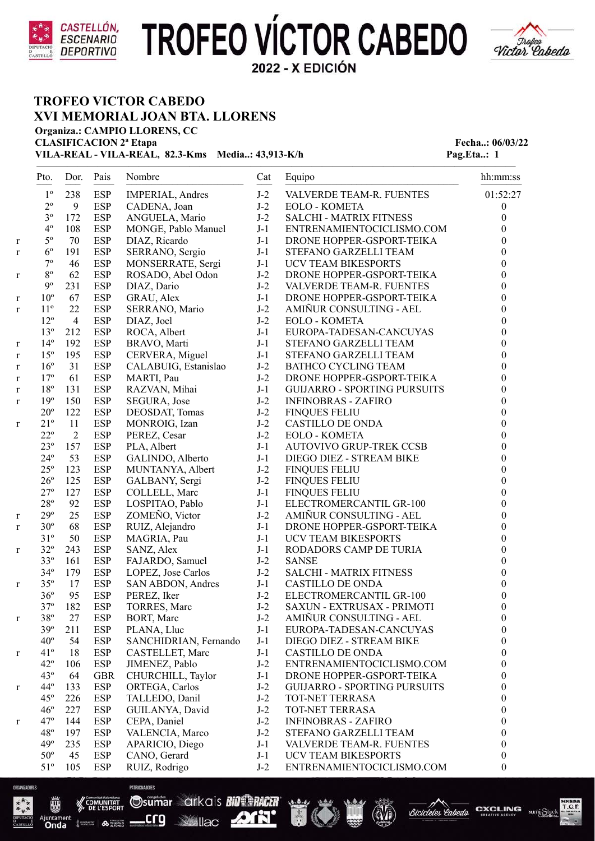



### **TROFEO VICTOR CABEDO XVI MEMORIAL JOAN BTA. LLORENS**

**Organiza.: CAMPIO LLORENS, CC CLASIFICACION 2<sup>ª</sup> Etapa Fecha..: 06/03/22** 

**VILA-REAL - VILA-REAL, 82.3-Kms Media..: 43,913-K/h Pag.Eta..: 1** 

|   | Pto.            | Dor.           | Pais       | Nombre                  | Cat   | Equipo                              | hh:mm:ss         |
|---|-----------------|----------------|------------|-------------------------|-------|-------------------------------------|------------------|
|   | $1^{\circ}$     | 238            | <b>ESP</b> | <b>IMPERIAL, Andres</b> | $J-2$ | VALVERDE TEAM-R. FUENTES            | 01:52:27         |
|   | $2^{\circ}$     | 9              | <b>ESP</b> | CADENA, Joan            | $J-2$ | <b>EOLO - KOMETA</b>                | $\boldsymbol{0}$ |
|   | $3^{\rm o}$     | 172            | <b>ESP</b> | ANGUELA, Mario          | $J-2$ | <b>SALCHI - MATRIX FITNESS</b>      | $\boldsymbol{0}$ |
|   | $4^{\circ}$     | 108            | <b>ESP</b> | MONGE, Pablo Manuel     | $J-1$ | ENTRENAMIENTOCICLISMO.COM           | $\boldsymbol{0}$ |
| r | $5^{\circ}$     | 70             | <b>ESP</b> | DIAZ, Ricardo           | $J-1$ | DRONE HOPPER-GSPORT-TEIKA           | $\boldsymbol{0}$ |
| r | $6^{\circ}$     | 191            | <b>ESP</b> | SERRANO, Sergio         | $J-1$ | STEFANO GARZELLI TEAM               | $\boldsymbol{0}$ |
|   | $7^{\rm o}$     | 46             | <b>ESP</b> | MONSERRATE, Sergi       | $J-1$ | UCV TEAM BIKESPORTS                 | $\boldsymbol{0}$ |
| r | $8^{\rm o}$     | 62             | <b>ESP</b> | ROSADO, Abel Odon       | $J-2$ | DRONE HOPPER-GSPORT-TEIKA           | $\boldsymbol{0}$ |
|   | $9^{\circ}$     | 231            | <b>ESP</b> | DIAZ, Dario             | $J-2$ | VALVERDE TEAM-R. FUENTES            | $\boldsymbol{0}$ |
| r | $10^{\circ}$    | 67             | <b>ESP</b> | GRAU, Alex              | $J-1$ | DRONE HOPPER-GSPORT-TEIKA           | $\boldsymbol{0}$ |
| r | $11^{\circ}$    | 22             | <b>ESP</b> | SERRANO, Mario          | $J-2$ | AMIÑUR CONSULTING - AEL             | $\boldsymbol{0}$ |
|   | $12^{\circ}$    | $\overline{4}$ | <b>ESP</b> | DIAZ, Joel              | $J-2$ | <b>EOLO - KOMETA</b>                | $\boldsymbol{0}$ |
|   | $13^{\circ}$    | 212            | <b>ESP</b> | ROCA, Albert            | $J-1$ | EUROPA-TADESAN-CANCUYAS             | $\boldsymbol{0}$ |
| r | $14^{\circ}$    | 192            | <b>ESP</b> | BRAVO, Marti            | $J-1$ | STEFANO GARZELLI TEAM               | $\boldsymbol{0}$ |
| r | $15^{\circ}$    | 195            | <b>ESP</b> | CERVERA, Miguel         | $J-1$ | STEFANO GARZELLI TEAM               | $\boldsymbol{0}$ |
| r | $16^{\circ}$    | 31             | <b>ESP</b> | CALABUIG, Estanislao    | $J-2$ | <b>BATHCO CYCLING TEAM</b>          | $\boldsymbol{0}$ |
| r | 17 <sup>°</sup> | 61             | <b>ESP</b> | MARTI, Pau              | $J-2$ | DRONE HOPPER-GSPORT-TEIKA           | $\boldsymbol{0}$ |
| r | $18^{\rm o}$    | 131            | <b>ESP</b> | RAZVAN, Mihai           | $J-1$ | <b>GUIJARRO - SPORTING PURSUITS</b> | $\boldsymbol{0}$ |
| r | $19^{\circ}$    | 150            | <b>ESP</b> | SEGURA, Jose            | $J-2$ | <b>INFINOBRAS - ZAFIRO</b>          | $\boldsymbol{0}$ |
|   | $20^{\circ}$    | 122            | <b>ESP</b> | DEOSDAT, Tomas          | $J-2$ | <b>FINQUES FELIU</b>                | $\boldsymbol{0}$ |
| r | $21^{\circ}$    | 11             | <b>ESP</b> | MONROIG, Izan           | $J-2$ | <b>CASTILLO DE ONDA</b>             | $\boldsymbol{0}$ |
|   | $22^{\circ}$    | $\overline{2}$ | <b>ESP</b> | PEREZ, Cesar            | $J-2$ | <b>EOLO - KOMETA</b>                | $\boldsymbol{0}$ |
|   | $23^{\circ}$    | 157            | <b>ESP</b> | PLA, Albert             | $J-1$ | <b>AUTOVIVO GRUP-TREK CCSB</b>      | $\boldsymbol{0}$ |
|   | $24^{\circ}$    | 53             | <b>ESP</b> | GALINDO, Alberto        | $J-1$ | DIEGO DIEZ - STREAM BIKE            | $\boldsymbol{0}$ |
|   | $25^{\circ}$    | 123            | <b>ESP</b> | MUNTANYA, Albert        | $J-2$ | <b>FINQUES FELIU</b>                | $\boldsymbol{0}$ |
|   | $26^{\circ}$    | 125            | <b>ESP</b> | GALBANY, Sergi          | $J-2$ | <b>FINQUES FELIU</b>                | $\boldsymbol{0}$ |
|   | $27^{\circ}$    | 127            | <b>ESP</b> | COLLELL, Marc           | $J-1$ | <b>FINQUES FELIU</b>                | $\boldsymbol{0}$ |
|   | $28^{\circ}$    | 92             | <b>ESP</b> | LOSPITAO, Pablo         | $J-1$ | ELECTROMERCANTIL GR-100             | $\boldsymbol{0}$ |
| r | $29^{\circ}$    | 25             | <b>ESP</b> | ZOMEÑO, Victor          | $J-2$ | AMIÑUR CONSULTING - AEL             | $\boldsymbol{0}$ |
| r | $30^{\circ}$    | 68             | <b>ESP</b> | RUIZ, Alejandro         | $J-1$ | DRONE HOPPER-GSPORT-TEIKA           | $\boldsymbol{0}$ |
|   | $31^{\circ}$    | 50             | <b>ESP</b> | MAGRIA, Pau             | $J-1$ | <b>UCV TEAM BIKESPORTS</b>          | $\boldsymbol{0}$ |
| r | $32^{\circ}$    | 243            | <b>ESP</b> | SANZ, Alex              | $J-1$ | RODADORS CAMP DE TURIA              | $\boldsymbol{0}$ |
|   | $33^{\circ}$    | 161            | <b>ESP</b> | FAJARDO, Samuel         | $J-2$ | <b>SANSE</b>                        | $\boldsymbol{0}$ |
|   | $34^{\circ}$    | 179            | <b>ESP</b> | LOPEZ, Jose Carlos      | $J-2$ | <b>SALCHI - MATRIX FITNESS</b>      | $\boldsymbol{0}$ |
| r | $35^{\circ}$    | 17             | <b>ESP</b> | SAN ABDON, Andres       | $J-1$ | <b>CASTILLO DE ONDA</b>             | $\boldsymbol{0}$ |
|   | $36^{\circ}$    | 95             | <b>ESP</b> | PEREZ, Iker             | $J-2$ | ELECTROMERCANTIL GR-100             | $\boldsymbol{0}$ |
|   | $37^{\circ}$    | 182            | <b>ESP</b> | TORRES, Marc            | $J-2$ | SAXUN - EXTRUSAX - PRIMOTI          | $\boldsymbol{0}$ |
| r | $38^{\rm o}$    | 27             | <b>ESP</b> | BORT, Marc              | $J-2$ | AMIÑUR CONSULTING - AEL             | $\boldsymbol{0}$ |
|   | $39^\circ$      | 211            | ESP        | PLANA, Lluc             | $J-1$ | EUROPA-TADESAN-CANCUYAS             | $\boldsymbol{0}$ |
|   | $40^{\circ}$    | 54             | <b>ESP</b> | SANCHIDRIAN, Fernando   | $J-1$ | DIEGO DIEZ - STREAM BIKE            | $\boldsymbol{0}$ |
| r | $41^{\circ}$    | 18             | <b>ESP</b> | CASTELLET, Marc         | $J-1$ | <b>CASTILLO DE ONDA</b>             | $\boldsymbol{0}$ |
|   | $42^{\circ}$    | 106            | <b>ESP</b> | JIMENEZ, Pablo          | $J-2$ | ENTRENAMIENTOCICLISMO.COM           | $\boldsymbol{0}$ |
|   | $43^\circ$      | 64             | <b>GBR</b> | CHURCHILL, Taylor       | $J-1$ | DRONE HOPPER-GSPORT-TEIKA           | $\boldsymbol{0}$ |
| r | 44 <sup>o</sup> | 133            | <b>ESP</b> | ORTEGA, Carlos          | $J-2$ | <b>GUIJARRO - SPORTING PURSUITS</b> | $\boldsymbol{0}$ |
|   | $45^\circ$      | 226            | <b>ESP</b> | TALLEDO, Danil          | $J-2$ | TOT-NET TERRASA                     | $\boldsymbol{0}$ |
|   | $46^{\circ}$    | 227            | <b>ESP</b> | GUILANYA, David         | $J-2$ | TOT-NET TERRASA                     | $\boldsymbol{0}$ |
| r | $47^\circ$      | 144            | <b>ESP</b> | CEPA, Daniel            | $J-2$ | <b>INFINOBRAS - ZAFIRO</b>          | $\boldsymbol{0}$ |
|   | $48^{\circ}$    | 197            | <b>ESP</b> | VALENCIA, Marco         | $J-2$ | STEFANO GARZELLI TEAM               | $\boldsymbol{0}$ |
|   | $49^\circ$      | 235            | <b>ESP</b> | APARICIO, Diego         | $J-1$ | VALVERDE TEAM-R. FUENTES            | $\boldsymbol{0}$ |
|   | $50^{\circ}$    | 45             | <b>ESP</b> | CANO, Gerard            | $J-1$ | UCV TEAM BIKESPORTS                 | $\boldsymbol{0}$ |
|   | $51^{\circ}$    | 105            | <b>ESP</b> | RUIZ, Rodrigo           | $J-2$ | ENTRENAMIENTOCICLISMO.COM           | $\boldsymbol{0}$ |
|   |                 |                |            |                         |       |                                     |                  |



靊

**Basement A FRINGER** 

Onda

Osumar arkais Bill RACH crq

PATROPRADORES









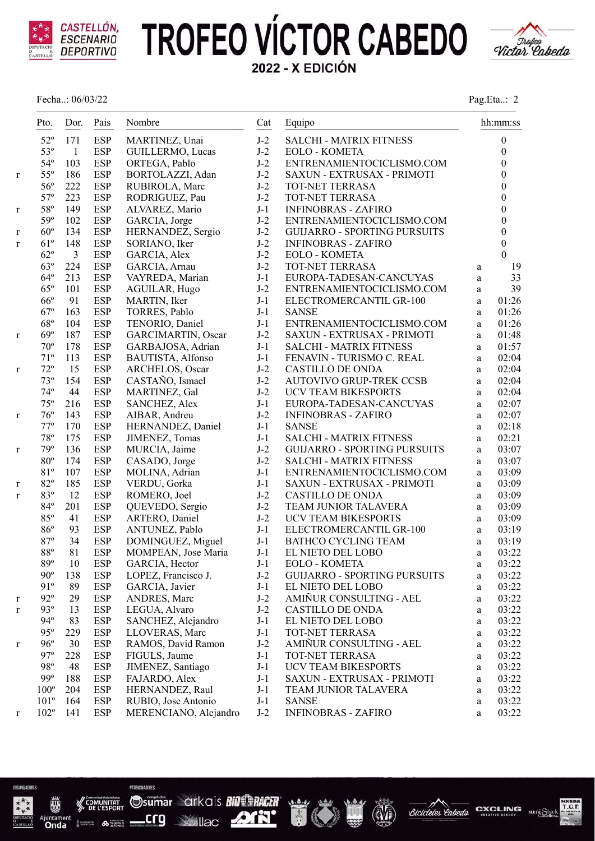

Fecha..: 06/03/22 Pag.Eta..: 2



|              | Pto.            | Dor.           | Pais       | Nombre                   | Cat   | Equipo                              |              | hh:mm:ss         |
|--------------|-----------------|----------------|------------|--------------------------|-------|-------------------------------------|--------------|------------------|
|              | $52^{\circ}$    | 171            | <b>ESP</b> | MARTINEZ, Unai           | $J-2$ | SALCHI - MATRIX FITNESS             |              | $\boldsymbol{0}$ |
|              | 53°             | $\overline{1}$ | <b>ESP</b> | GUILLERMO, Lucas         | $J-2$ | <b>EOLO - KOMETA</b>                |              | $\boldsymbol{0}$ |
|              | $54^\circ$      | 103            | <b>ESP</b> | ORTEGA, Pablo            | $J-2$ | ENTRENAMIENTOCICLISMO.COM           |              | $\boldsymbol{0}$ |
| $\mathbf r$  | $55^{\circ}$    | 186            | <b>ESP</b> | BORTOLAZZI, Adan         | $J-2$ | SAXUN - EXTRUSAX - PRIMOTI          |              | $\overline{0}$   |
|              | $56^{\circ}$    | 222            | <b>ESP</b> | RUBIROLA, Marc           | $J-2$ | TOT-NET TERRASA                     |              | $\boldsymbol{0}$ |
|              | $57^\circ$      | 223            | <b>ESP</b> | RODRIGUEZ, Pau           | $J-2$ | TOT-NET TERRASA                     |              | $\boldsymbol{0}$ |
| $\mathbf r$  | 58°             | 149            | <b>ESP</b> | ALVAREZ, Mario           | $J-1$ | <b>INFINOBRAS - ZAFIRO</b>          |              | $\boldsymbol{0}$ |
|              | 59 <sup>o</sup> | 102            | <b>ESP</b> | GARCIA, Jorge            | $J-2$ | ENTRENAMIENTOCICLISMO.COM           |              | $\boldsymbol{0}$ |
| $\mathbf r$  | $60^{\circ}$    | 134            | <b>ESP</b> | HERNANDEZ, Sergio        | $J-2$ | <b>GUIJARRO - SPORTING PURSUITS</b> |              | $\boldsymbol{0}$ |
| $\mathbf{r}$ | $61^{\circ}$    | 148            | <b>ESP</b> | SORIANO, Iker            | $J-2$ | <b>INFINOBRAS - ZAFIRO</b>          |              | $\boldsymbol{0}$ |
|              | $62^{\circ}$    | 3              | <b>ESP</b> | GARCIA, Alex             | $J-2$ | <b>EOLO - KOMETA</b>                |              | $\theta$         |
|              | $63^\circ$      | 224            | <b>ESP</b> | GARCIA, Arnau            | $J-2$ | TOT-NET TERRASA                     | a            | 19               |
|              | $64^{\circ}$    | 213            | <b>ESP</b> | VAYREDA, Marian          | $J-1$ | EUROPA-TADESAN-CANCUYAS             | a            | 33               |
|              | $65^{\circ}$    | 101            | <b>ESP</b> | AGUILAR, Hugo            | $J-2$ | ENTRENAMIENTOCICLISMO.COM           | a            | 39               |
|              | $66^{\circ}$    | 91             | <b>ESP</b> | MARTIN, Iker             | $J-1$ | ELECTROMERCANTIL GR-100             | $\mathbf{a}$ | 01:26            |
|              | $67^\circ$      | 163            | <b>ESP</b> | TORRES, Pablo            | $J-1$ | <b>SANSE</b>                        | a            | 01:26            |
|              | $68^{\rm o}$    | 104            | <b>ESP</b> | TENORIO, Daniel          | $J-1$ | ENTRENAMIENTOCICLISMO.COM           | $\mathbf{a}$ | 01:26            |
| r            | 69°             | 187            | <b>ESP</b> | GARCIMARTIN, Oscar       | $J-2$ | SAXUN - EXTRUSAX - PRIMOTI          | a            | 01:48            |
|              | $70^{\circ}$    | 178            | <b>ESP</b> | GARBAJOSA, Adrian        | $J-1$ | <b>SALCHI - MATRIX FITNESS</b>      | a            | 01:57            |
|              | $71^{\circ}$    | 113            | <b>ESP</b> | <b>BAUTISTA, Alfonso</b> | $J-1$ | FENAVIN - TURISMO C. REAL           | a            | 02:04            |
| $\bf r$      | $72^{\circ}$    | 15             | <b>ESP</b> | ARCHELOS, Oscar          | $J-2$ | <b>CASTILLO DE ONDA</b>             | a            | 02:04            |
|              | $73^{\circ}$    | 154            | <b>ESP</b> | CASTAÑO, Ismael          | $J-2$ | <b>AUTOVIVO GRUP-TREK CCSB</b>      | a            | 02:04            |
|              | $74^{\circ}$    | 44             | <b>ESP</b> | MARTINEZ, Gal            | $J-2$ | <b>UCV TEAM BIKESPORTS</b>          | $\mathbf{a}$ | 02:04            |
|              | $75^{\circ}$    | 216            | <b>ESP</b> | SANCHEZ, Alex            | $J-1$ | EUROPA-TADESAN-CANCUYAS             | $\mathbf{a}$ | 02:07            |
| r            | $76^{\circ}$    | 143            | <b>ESP</b> | AIBAR, Andreu            | $J-2$ | <b>INFINOBRAS - ZAFIRO</b>          | a            | 02:07            |
|              | $77^{\circ}$    | 170            | <b>ESP</b> | HERNANDEZ, Daniel        | $J-1$ | <b>SANSE</b>                        | $\mathbf{a}$ | 02:18            |
|              | $78^{\rm o}$    | 175            | <b>ESP</b> | JIMENEZ, Tomas           | $J-1$ | <b>SALCHI - MATRIX FITNESS</b>      | a            | 02:21            |
| $\mathbf r$  | 79°             | 136            | <b>ESP</b> | MURCIA, Jaime            | $J-2$ | <b>GUIJARRO - SPORTING PURSUITS</b> | a            | 03:07            |
|              | $80^{\rm o}$    | 174            | <b>ESP</b> | CASADO, Jorge            | $J-2$ | <b>SALCHI - MATRIX FITNESS</b>      | a            | 03:07            |
|              | 81°             | 107            | <b>ESP</b> | MOLINA, Adrian           | $J-1$ | ENTRENAMIENTOCICLISMO.COM           | $\mathbf{a}$ | 03:09            |
| $\mathbf r$  | $82^{\circ}$    | 185            | <b>ESP</b> | VERDU, Gorka             | $J-1$ | SAXUN - EXTRUSAX - PRIMOTI          | a            | 03:09            |
| $\mathbf r$  | 83°             | 12             | <b>ESP</b> | ROMERO, Joel             | $J-2$ | <b>CASTILLO DE ONDA</b>             | $\rm{a}$     | 03:09            |
|              | $84^{\circ}$    | 201            | <b>ESP</b> | QUEVEDO, Sergio          | $J-2$ | TEAM JUNIOR TALAVERA                | a            | 03:09            |
|              | 85°             | 41             | <b>ESP</b> | ARTERO, Daniel           | $J-2$ | <b>UCV TEAM BIKESPORTS</b>          | a            | 03:09            |
|              | $86^{\circ}$    | 93             | <b>ESP</b> | ANTUNEZ, Pablo           | $J-1$ | ELECTROMERCANTIL GR-100             | a            | 03:19            |
|              | $87^\circ$      | 34             | <b>ESP</b> | DOMINGUEZ, Miguel        | $J-1$ | <b>BATHCO CYCLING TEAM</b>          | $\mathbf{a}$ | 03:19            |
|              | $88^{\rm o}$    | 81             | <b>ESP</b> | MOMPEAN, Jose Maria      | $J-1$ | EL NIETO DEL LOBO                   | a            | 03:22            |
|              | 89°             | 10             | <b>ESP</b> | GARCIA, Hector           | $J-1$ | EOLO - KOMETA                       | a            | 03:22            |
|              | $90^{\circ}$    | 138            | <b>ESP</b> | LOPEZ, Francisco J.      | $J-2$ | <b>GUIJARRO - SPORTING PURSUITS</b> | a            | 03:22            |
|              | 91°             | 89             | <b>ESP</b> | GARCIA, Javier           | $J-1$ | EL NIETO DEL LOBO                   | a            | 03:22            |
| r            | $92^{\circ}$    | 29             | <b>ESP</b> | ANDRES, Marc             | $J-2$ | AMIÑUR CONSULTING - AEL             | $\rm{a}$     | 03:22            |
| r            | $93^\circ$      | 13             | <b>ESP</b> | LEGUA, Alvaro            | $J-2$ | <b>CASTILLO DE ONDA</b>             | a            | 03:22            |
|              | $94^\circ$      | 83             | <b>ESP</b> | SANCHEZ, Alejandro       | $J-1$ | EL NIETO DEL LOBO                   | a            | 03:22            |
|              | 95°             | 229            | <b>ESP</b> | LLOVERAS, Marc           | $J-1$ | TOT-NET TERRASA                     | $\rm{a}$     | 03:22            |
| $\bf r$      | $96^{\circ}$    | 30             | <b>ESP</b> | RAMOS, David Ramon       | $J-2$ | AMIÑUR CONSULTING - AEL             | a            | 03:22            |
|              | 97°             | 228            | <b>ESP</b> | FIGULS, Jaume            | $J-1$ | TOT-NET TERRASA                     | a            | 03:22            |
|              | 98°             | 48             | <b>ESP</b> | JIMENEZ, Santiago        | $J-1$ | UCV TEAM BIKESPORTS                 | a            | 03:22            |
|              | $99^\circ$      | 188            | <b>ESP</b> | FAJARDO, Alex            | $J-1$ | SAXUN - EXTRUSAX - PRIMOTI          | a            | 03:22            |
|              | $100^{\circ}$   | 204            | <b>ESP</b> | HERNANDEZ, Raul          | $J-1$ | TEAM JUNIOR TALAVERA                | a            | 03:22            |
|              | $101^{\circ}$   | 164            | <b>ESP</b> | RUBIO, Jose Antonio      | $J-1$ | <b>SANSE</b>                        | a            | 03:22            |
| r            | $102^{\circ}$   | 141            | <b>ESP</b> | MERENCIANO, Alejandro    | $J-2$ | <b>INFINOBRAS - ZAFIRO</b>          | a            | 03:22            |
|              |                 |                |            |                          |       |                                     |              |                  |



顽

onda<br>Onda

Burgun

PATROCNARDES

Ai

**Sumar arkais Bill SHACER**<br>
<u>Crg</u> Milac **ATH See Ilac** 







**CXCLING** 

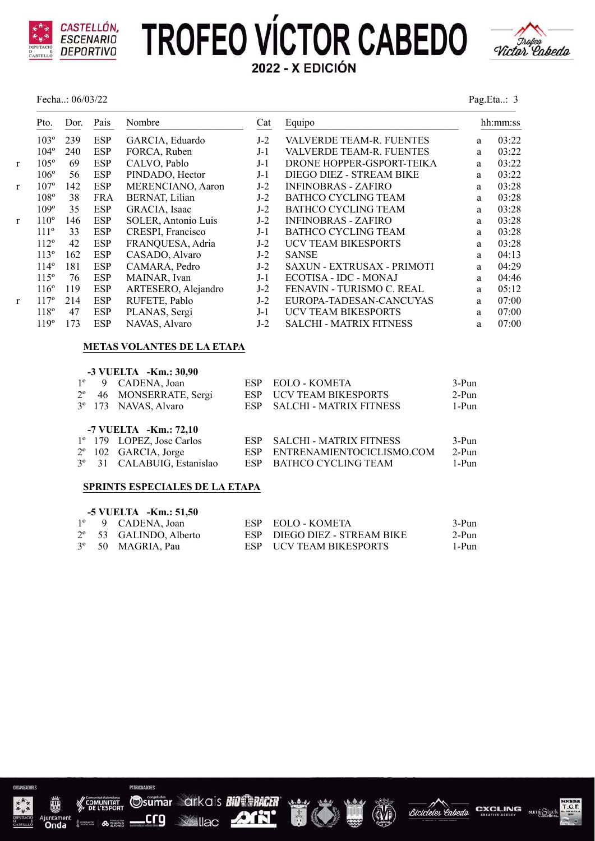

Fecha..: 06/03/22 Pag.Eta..: 3



|   | Pto.             | Dor. | Pais       | Nombre              | Cat   | Equipo                            |   | hh:mm:ss |
|---|------------------|------|------------|---------------------|-------|-----------------------------------|---|----------|
|   | $103^\circ$      | 239  | <b>ESP</b> | GARCIA, Eduardo     | $J-2$ | VALVERDE TEAM-R. FUENTES          | a | 03:22    |
|   | $104^\circ$      | 240  | <b>ESP</b> | FORCA, Ruben        | $J-1$ | VALVERDE TEAM-R. FUENTES          | a | 03:22    |
| r | $105^\circ$      | 69   | <b>ESP</b> | CALVO, Pablo        | $J-1$ | DRONE HOPPER-GSPORT-TEIKA         | a | 03:22    |
|   | $106^\circ$      | 56   | <b>ESP</b> | PINDADO, Hector     | $J-1$ | DIEGO DIEZ - STREAM BIKE          | a | 03:22    |
| r | 107 <sup>°</sup> | 142  | <b>ESP</b> | MERENCIANO, Aaron   | $J-2$ | <b>INFINOBRAS - ZAFIRO</b>        | a | 03:28    |
|   | 108°             | 38   | <b>FRA</b> | BERNAT, Lilian      | $J-2$ | <b>BATHCO CYCLING TEAM</b>        | a | 03:28    |
|   | 109°             | 35   | <b>ESP</b> | GRACIA, Isaac       | $J-2$ | <b>BATHCO CYCLING TEAM</b>        | a | 03:28    |
| r | $110^{\circ}$    | 146  | <b>ESP</b> | SOLER, Antonio Luis | $J-2$ | <b>INFINOBRAS - ZAFIRO</b>        | a | 03:28    |
|   | $111^{\circ}$    | 33   | <b>ESP</b> | CRESPI, Francisco   | $J-1$ | <b>BATHCO CYCLING TEAM</b>        | a | 03:28    |
|   | $112^{\circ}$    | 42   | <b>ESP</b> | FRANQUESA, Adria    | $J-2$ | <b>UCV TEAM BIKESPORTS</b>        | a | 03:28    |
|   | $113^{\circ}$    | 162  | <b>ESP</b> | CASADO, Alvaro      | $J-2$ | <b>SANSE</b>                      | a | 04:13    |
|   | $114^\circ$      | 181  | <b>ESP</b> | CAMARA, Pedro       | $J-2$ | <b>SAXUN - EXTRUSAX - PRIMOTI</b> | a | 04:29    |
|   | $115^\circ$      | 76   | <b>ESP</b> | MAINAR, Ivan        | $J-1$ | ECOTISA - IDC - MONAJ             | a | 04:46    |
|   | $116^\circ$      | 119  | <b>ESP</b> | ARTESERO, Alejandro | $J-2$ | FENAVIN - TURISMO C. REAL         | a | 05:12    |
| r | $117^{\circ}$    | 214  | <b>ESP</b> | RUFETE, Pablo       | $J-2$ | EUROPA-TADESAN-CANCUYAS           | a | 07:00    |
|   | 118°             | 47   | <b>ESP</b> | PLANAS, Sergi       | $J-1$ | <b>UCV TEAM BIKESPORTS</b>        | a | 07:00    |
|   | 119°             | 173  | <b>ESP</b> | NAVAS, Alvaro       | $J-2$ | <b>SALCHI - MATRIX FITNESS</b>    | a | 07:00    |
|   |                  |      |            |                     |       |                                   |   |          |

#### **METAS VOLANTES DE LA ETAPA**

| $1^{\circ}$<br>$2^{\circ}$ | -3 VUELTA -Km.: 30,90<br>9 CADENA, Joan<br>46 MONSERRATE, Sergi<br>3 <sup>°</sup> 173 NAVAS, Alvaro                 | <b>ESP</b><br>ESP.<br>ESP       | <b>EOLO - KOMETA</b><br>UCV TEAM BIKESPORTS<br><b>SALCHI - MATRIX FITNESS</b>             | 3-Pun<br>$2-Pun$<br>$1-Pun$    |
|----------------------------|---------------------------------------------------------------------------------------------------------------------|---------------------------------|-------------------------------------------------------------------------------------------|--------------------------------|
|                            | -7 VUELTA -Km.: $72,10$<br>1º 179 LOPEZ, Jose Carlos<br>$2^{\circ}$ 102 GARCIA, Jorge<br>3º 31 CALABUIG, Estanislao | <b>ESP</b><br>ESP<br><b>ESP</b> | <b>SALCHI - MATRIX FITNESS</b><br>ENTRENAMIENTOCICLISMO.COM<br><b>BATHCO CYCLING TEAM</b> | $3-Pun$<br>$2-Pun$<br>$1-P$ un |

### **SPRINTS ESPECIALES DE LA ETAPA**

|  | $-5$ VUELTA $-Km.: 51,50$       |                              |       |
|--|---------------------------------|------------------------------|-------|
|  | 1 <sup>°</sup> 9 CADENA, Joan   | ESP EOLO - KOMETA            | 3-Pun |
|  | $2^{\circ}$ 53 GALINDO, Alberto | ESP DIEGO DIEZ - STREAM BIKE | 2-Pun |
|  | 3° 50 MAGRIA, Pau               | ESP UCV TEAM BIKESPORTS      | 1-Pun |



<sub>ontane</sub><br>Onda

Osumar arkais Bill PACER crg

PATROPRADORES

A TRINIDAD

**DIR' See Ilac** 





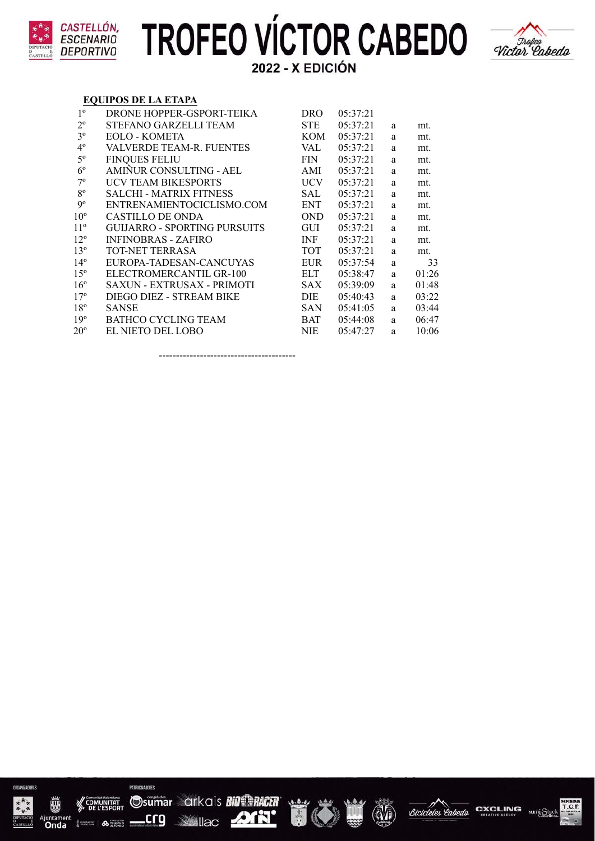



#### **EQUIPOS DE LA ETAPA**

| $1^{\circ}$     | DRONE HOPPER-GSPORT-TEIKA         | <b>DRO</b> | 05:37:21 |   |       |
|-----------------|-----------------------------------|------------|----------|---|-------|
| $2^{\circ}$     | STEFANO GARZELLI TEAM             | <b>STE</b> | 05:37:21 | a | mt.   |
| 3 <sup>o</sup>  | EOLO - KOMETA                     | <b>KOM</b> | 05:37:21 | a | mt.   |
| $4^{\circ}$     | VALVERDE TEAM-R. FUENTES          | VAL        | 05:37:21 | a | mt.   |
| $5^{\circ}$     | <b>FINQUES FELIU</b>              | <b>FIN</b> | 05:37:21 | a | mt.   |
| $6^{\circ}$     | AMIÑUR CONSULTING - AEL           | AMI        | 05:37:21 | a | mt.   |
| $7^\mathrm{o}$  | UCV TEAM BIKESPORTS               | <b>UCV</b> | 05:37:21 | a | mt.   |
| $8^{\circ}$     | <b>SALCHI - MATRIX FITNESS</b>    | SAL        | 05:37:21 | a | mt.   |
| 9 <sup>o</sup>  | ENTRENAMIENTOCICLISMO.COM         | <b>ENT</b> | 05:37:21 | a | mt.   |
| 10 <sup>o</sup> | CASTILLO DE ONDA                  | <b>OND</b> | 05:37:21 | a | mt.   |
| $11^{\circ}$    | GUIJARRO - SPORTING PURSUITS      | <b>GUI</b> | 05:37:21 | a | mt.   |
| $12^{\circ}$    | <b>INFINOBRAS - ZAFIRO</b>        | <b>INF</b> | 05:37:21 | a | mt.   |
| 13 <sup>°</sup> | TOT-NET TERRASA                   | <b>TOT</b> | 05:37:21 | a | mt.   |
| $14^{\circ}$    | EUROPA-TADESAN-CANCUYAS           | <b>EUR</b> | 05:37:54 | a | 33    |
| $15^{\circ}$    | ELECTROMERCANTIL GR-100           | ELT.       | 05:38:47 | a | 01:26 |
| 16 <sup>°</sup> | <b>SAXUN - EXTRUSAX - PRIMOTI</b> | <b>SAX</b> | 05:39:09 | a | 01:48 |
| 17 <sup>°</sup> | DIEGO DIEZ - STREAM BIKE          | <b>DIE</b> | 05:40:43 | a | 03:22 |
| 18 <sup>°</sup> | <b>SANSE</b>                      | <b>SAN</b> | 05:41:05 | a | 03:44 |
| 19 <sup>°</sup> | <b>BATHCO CYCLING TEAM</b>        | <b>BAT</b> | 05:44:08 | a | 06:47 |
| $20^{\circ}$    | EL NIETO DEL LOBO                 | <b>NIE</b> | 05:47:27 | a | 10:06 |
|                 |                                   |            |          |   |       |

----------------------------------------

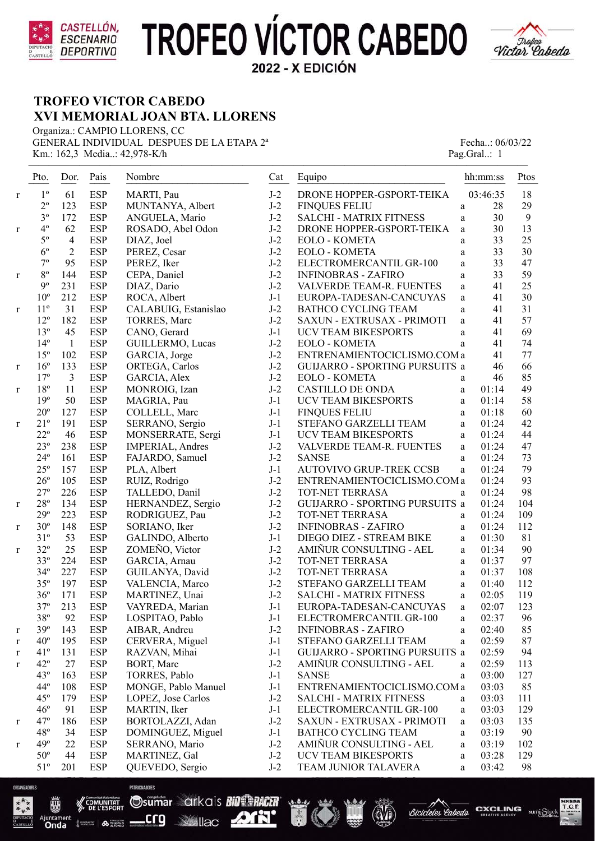



### **TROFEO VICTOR CABEDO XVI MEMORIAL JOAN BTA. LLORENS**

Organiza.: CAMPIO LLORENS, CC GENERAL INDIVIDUAL DESPUES DE LA ETAPA  $2^a$  Fecha..: 06/03/22 Km.: 162,3 Media..: 42,978-K/h Pag.Gral..: 1

| $1^{\circ}$<br>$J-2$<br>61<br><b>ESP</b><br>DRONE HOPPER-GSPORT-TEIKA<br>03:46:35<br>MARTI, Pau<br>r<br>$2^{\circ}$<br><b>ESP</b><br>$J-2$<br>123<br>MUNTANYA, Albert<br><b>FINQUES FELIU</b><br>28<br>a<br>$3^{\circ}$<br>172<br>$J-2$<br><b>ESP</b><br>30<br>ANGUELA, Mario<br><b>SALCHI - MATRIX FITNESS</b><br>a<br>$4^{\circ}$<br>62<br><b>ESP</b><br>$J-2$<br>30<br>DRONE HOPPER-GSPORT-TEIKA<br>ROSADO, Abel Odon<br>a<br>$\mathbf r$<br>33<br>$5^{\circ}$<br>$\overline{4}$<br><b>ESP</b><br>$J-2$<br>DIAZ, Joel<br>EOLO - KOMETA<br>a<br>$6^{\circ}$<br>$\overline{2}$<br><b>ESP</b><br>$J-2$<br>33<br>PEREZ, Cesar<br><b>EOLO - KOMETA</b><br>a<br>$7^{\circ}$<br>$J-2$<br>95<br><b>ESP</b><br>33<br>PEREZ, Iker<br>ELECTROMERCANTIL GR-100<br>a<br>$J-2$<br>33<br>$8^{\circ}$<br>144<br><b>ESP</b><br>CEPA, Daniel<br><b>INFINOBRAS - ZAFIRO</b><br>a<br>$\mathbf{r}$<br>$J-2$<br>$9^{\circ}$<br>231<br>41<br><b>ESP</b><br>DIAZ, Dario<br>VALVERDE TEAM-R. FUENTES<br>a<br>$10^{\circ}$<br>212<br><b>ESP</b><br>$J-1$<br>41<br>ROCA, Albert<br>EUROPA-TADESAN-CANCUYAS<br>a<br>31<br>$J-2$<br>$11^{\circ}$<br><b>ESP</b><br>41<br>CALABUIG, Estanislao<br><b>BATHCO CYCLING TEAM</b><br>a<br>r<br>$J-2$<br>$12^{\circ}$<br>182<br><b>ESP</b><br>41<br>TORRES, Marc<br>SAXUN - EXTRUSAX - PRIMOTI<br>a<br>$13^{\circ}$<br>45<br><b>ESP</b><br>$J-1$<br>41<br>CANO, Gerard<br>UCV TEAM BIKESPORTS<br>a<br>$14^{\circ}$<br>$\mathbf{1}$<br><b>ESP</b><br>GUILLERMO, Lucas<br>$J-2$<br>41<br>EOLO - KOMETA<br>a<br>$15^{\circ}$<br>102<br><b>ESP</b><br>$J-2$<br>GARCIA, Jorge<br>ENTRENAMIENTOCICLISMO.COM a<br>41<br>16 <sup>°</sup><br>133<br><b>ESP</b><br>$J-2$<br>ORTEGA, Carlos<br>GUIJARRO - SPORTING PURSUITS a<br>46<br>r<br>$17^{\circ}$<br>3<br><b>ESP</b><br>$J-2$<br>46<br><b>EOLO - KOMETA</b><br>GARCIA, Alex<br>a<br>$18^{\circ}$<br>11<br><b>ESP</b><br>$J-2$<br>MONROIG, Izan<br><b>CASTILLO DE ONDA</b><br>01:14<br>a<br>r<br>19°<br>50<br><b>ESP</b><br>$J-1$<br><b>UCV TEAM BIKESPORTS</b><br>01:14<br>MAGRIA, Pau<br>a<br>$20^{\circ}$<br>$J-1$<br>127<br><b>ESP</b><br>COLLELL, Marc<br><b>FINQUES FELIU</b><br>01:18<br>$\rm{a}$<br>$21^{\circ}$<br>191<br><b>ESP</b><br>$J-1$<br>SERRANO, Sergio<br>STEFANO GARZELLI TEAM<br>01:24<br>a<br>r<br>$22^{\circ}$<br><b>ESP</b><br>46<br>MONSERRATE, Sergi<br>$J-1$<br><b>UCV TEAM BIKESPORTS</b><br>01:24<br>a<br>$23^{\circ}$<br><b>ESP</b><br>$J-2$<br>238<br>01:24<br>IMPERIAL, Andres<br>VALVERDE TEAM-R. FUENTES<br>$\rm{a}$<br>$24^{\circ}$<br><b>ESP</b><br>$J-2$<br>161<br><b>SANSE</b><br>01:24<br>FAJARDO, Samuel<br>a<br>$25^{\circ}$<br><b>ESP</b><br>157<br>PLA, Albert<br>$J-1$<br>AUTOVIVO GRUP-TREK CCSB<br>01:24<br>a<br>$J-2$<br>$26^{\circ}$<br>105<br><b>ESP</b><br>01:24<br>RUIZ, Rodrigo<br>ENTRENAMIENTOCICLISMO.COM a<br>$27^{\circ}$<br>226<br><b>ESP</b><br>$J-2$<br>TALLEDO, Danil<br>TOT-NET TERRASA<br>01:24<br>a<br>$28^{\rm o}$<br><b>ESP</b><br>$J-2$<br>134<br>GUIJARRO - SPORTING PURSUITS a<br>01:24<br>HERNANDEZ, Sergio<br>$\mathbf r$<br>$29^{\circ}$<br>$J-2$<br>223<br><b>ESP</b><br>01:24<br>RODRIGUEZ, Pau<br>TOT-NET TERRASA<br>a<br>$J-2$<br>$30^{\circ}$<br>148<br><b>ESP</b><br>SORIANO, Iker<br><b>INFINOBRAS - ZAFIRO</b><br>01:24<br>a<br>r<br>53<br>$31^{\circ}$<br><b>ESP</b><br>$J-1$<br>DIEGO DIEZ - STREAM BIKE<br>GALINDO, Alberto<br>01:30<br>a<br>25<br>ZOMEÑO, Victor<br>$J-2$<br>AMIÑUR CONSULTING - AEL<br>$32^{\circ}$<br><b>ESP</b><br>01:34<br>a<br>r<br>$33^{\circ}$<br>224<br><b>ESP</b><br>GARCIA, Arnau<br>$J-2$<br>TOT-NET TERRASA<br>01:37<br>a<br>227<br>$J-2$<br>$34^{\circ}$<br><b>ESP</b><br>TOT-NET TERRASA<br>01:37<br>GUILANYA, David<br>$\rm{a}$<br>$35^{\circ}$<br><b>ESP</b><br>$J-2$<br>197<br>STEFANO GARZELLI TEAM<br>01:40<br>VALENCIA, Marco<br>$\rm{a}$<br>$J-2$<br>$36^{\circ}$<br>171<br><b>ESP</b><br>MARTINEZ, Unai<br><b>SALCHI - MATRIX FITNESS</b><br>02:05<br>$\rm{a}$<br>$37^{\circ}$<br>213<br><b>ESP</b><br>J-1<br>EUROPA-TADESAN-CANCUYAS<br>02:07<br>VAYREDA, Marian<br>a<br>$38^{\circ}$<br>92<br><b>ESP</b><br>LOSPITAO, Pablo<br>$J-1$<br>ELECTROMERCANTIL GR-100<br>02:37<br>a<br>39°<br><b>ESP</b><br>$J-2$<br>143<br>AIBAR, Andreu<br>02:40<br><b>INFINOBRAS - ZAFIRO</b><br>a<br>r<br><b>ESP</b><br>$40^{\circ}$<br>195<br>CERVERA, Miguel<br>$J-1$<br>02:59<br>STEFANO GARZELLI TEAM<br>a<br>r<br>$41^{\circ}$<br><b>ESP</b><br>131<br>RAZVAN, Mihai<br>$J-1$<br>GUIJARRO - SPORTING PURSUITS a<br>02:59<br>r<br>$42^{\circ}$<br>27<br><b>ESP</b><br>BORT, Marc<br>$J-2$<br>AMIÑUR CONSULTING - AEL<br>02:59<br>a<br>$\bf r$<br>$J-1$<br>$43^\circ$<br>163<br><b>ESP</b><br>TORRES, Pablo<br><b>SANSE</b><br>03:00<br>a<br>$44^{\circ}$<br>108<br><b>ESP</b><br>MONGE, Pablo Manuel<br>$J-1$<br>ENTRENAMIENTOCICLISMO.COM a<br>03:03<br>$45^{\circ}$<br>179<br><b>ESP</b><br>LOPEZ, Jose Carlos<br>$J-2$<br>03:03<br><b>SALCHI - MATRIX FITNESS</b><br>a<br>$46^{\circ}$<br>91<br><b>ESP</b><br>MARTIN, Iker<br>$J-1$<br>ELECTROMERCANTIL GR-100<br>03:03<br>$\mathbf{a}$<br>$47^\circ$<br>186<br><b>ESP</b><br>BORTOLAZZI, Adan<br>$J-2$<br>SAXUN - EXTRUSAX - PRIMOTI<br>03:03<br>a<br>r<br>$48^{\circ}$<br>34<br><b>ESP</b><br>DOMINGUEZ, Miguel<br>$J-1$<br><b>BATHCO CYCLING TEAM</b><br>03:19<br>a<br>49 <sup>°</sup><br>22<br><b>ESP</b><br>$J-2$<br>AMIÑUR CONSULTING - AEL<br>SERRANO, Mario<br>03:19<br>a<br>r<br>$50^{\circ}$<br><b>ESP</b><br>$J-2$<br>44<br>MARTINEZ, Gal<br>UCV TEAM BIKESPORTS<br>03:28<br>a | Pto.         | Dor. | Pais       | Nombre          | Cat   | Equipo               | hh:mm:ss   | Ptos |
|---------------------------------------------------------------------------------------------------------------------------------------------------------------------------------------------------------------------------------------------------------------------------------------------------------------------------------------------------------------------------------------------------------------------------------------------------------------------------------------------------------------------------------------------------------------------------------------------------------------------------------------------------------------------------------------------------------------------------------------------------------------------------------------------------------------------------------------------------------------------------------------------------------------------------------------------------------------------------------------------------------------------------------------------------------------------------------------------------------------------------------------------------------------------------------------------------------------------------------------------------------------------------------------------------------------------------------------------------------------------------------------------------------------------------------------------------------------------------------------------------------------------------------------------------------------------------------------------------------------------------------------------------------------------------------------------------------------------------------------------------------------------------------------------------------------------------------------------------------------------------------------------------------------------------------------------------------------------------------------------------------------------------------------------------------------------------------------------------------------------------------------------------------------------------------------------------------------------------------------------------------------------------------------------------------------------------------------------------------------------------------------------------------------------------------------------------------------------------------------------------------------------------------------------------------------------------------------------------------------------------------------------------------------------------------------------------------------------------------------------------------------------------------------------------------------------------------------------------------------------------------------------------------------------------------------------------------------------------------------------------------------------------------------------------------------------------------------------------------------------------------------------------------------------------------------------------------------------------------------------------------------------------------------------------------------------------------------------------------------------------------------------------------------------------------------------------------------------------------------------------------------------------------------------------------------------------------------------------------------------------------------------------------------------------------------------------------------------------------------------------------------------------------------------------------------------------------------------------------------------------------------------------------------------------------------------------------------------------------------------------------------------------------------------------------------------------------------------------------------------------------------------------------------------------------------------------------------------------------------------------------------------------------------------------------------------------------------------------------------------------------------------------------------------------------------------------------------------------------------------------------------------------------------------------------------------------------------------------------------------------------------------------------------------------------------------------------------------------------------------------------------------------------------------------------------------------------------------------------------------------------------------------------------------------------------------------------------------------------------------------------------------------------------------------------------------------------------------------------------------------------------------------------------------------------------------------------------------------------------------------------------------------------------------------------------------------------------------------------------------------------------------------------------------------------------------------------------------------------------------------------------------|--------------|------|------------|-----------------|-------|----------------------|------------|------|
|                                                                                                                                                                                                                                                                                                                                                                                                                                                                                                                                                                                                                                                                                                                                                                                                                                                                                                                                                                                                                                                                                                                                                                                                                                                                                                                                                                                                                                                                                                                                                                                                                                                                                                                                                                                                                                                                                                                                                                                                                                                                                                                                                                                                                                                                                                                                                                                                                                                                                                                                                                                                                                                                                                                                                                                                                                                                                                                                                                                                                                                                                                                                                                                                                                                                                                                                                                                                                                                                                                                                                                                                                                                                                                                                                                                                                                                                                                                                                                                                                                                                                                                                                                                                                                                                                                                                                                                                                                                                                                                                                                                                                                                                                                                                                                                                                                                                                                                                                                                                                                                                                                                                                                                                                                                                                                                                                                                                                                                                                                                     |              |      |            |                 |       |                      |            | 18   |
|                                                                                                                                                                                                                                                                                                                                                                                                                                                                                                                                                                                                                                                                                                                                                                                                                                                                                                                                                                                                                                                                                                                                                                                                                                                                                                                                                                                                                                                                                                                                                                                                                                                                                                                                                                                                                                                                                                                                                                                                                                                                                                                                                                                                                                                                                                                                                                                                                                                                                                                                                                                                                                                                                                                                                                                                                                                                                                                                                                                                                                                                                                                                                                                                                                                                                                                                                                                                                                                                                                                                                                                                                                                                                                                                                                                                                                                                                                                                                                                                                                                                                                                                                                                                                                                                                                                                                                                                                                                                                                                                                                                                                                                                                                                                                                                                                                                                                                                                                                                                                                                                                                                                                                                                                                                                                                                                                                                                                                                                                                                     |              |      |            |                 |       |                      |            | 29   |
|                                                                                                                                                                                                                                                                                                                                                                                                                                                                                                                                                                                                                                                                                                                                                                                                                                                                                                                                                                                                                                                                                                                                                                                                                                                                                                                                                                                                                                                                                                                                                                                                                                                                                                                                                                                                                                                                                                                                                                                                                                                                                                                                                                                                                                                                                                                                                                                                                                                                                                                                                                                                                                                                                                                                                                                                                                                                                                                                                                                                                                                                                                                                                                                                                                                                                                                                                                                                                                                                                                                                                                                                                                                                                                                                                                                                                                                                                                                                                                                                                                                                                                                                                                                                                                                                                                                                                                                                                                                                                                                                                                                                                                                                                                                                                                                                                                                                                                                                                                                                                                                                                                                                                                                                                                                                                                                                                                                                                                                                                                                     |              |      |            |                 |       |                      |            | 9    |
|                                                                                                                                                                                                                                                                                                                                                                                                                                                                                                                                                                                                                                                                                                                                                                                                                                                                                                                                                                                                                                                                                                                                                                                                                                                                                                                                                                                                                                                                                                                                                                                                                                                                                                                                                                                                                                                                                                                                                                                                                                                                                                                                                                                                                                                                                                                                                                                                                                                                                                                                                                                                                                                                                                                                                                                                                                                                                                                                                                                                                                                                                                                                                                                                                                                                                                                                                                                                                                                                                                                                                                                                                                                                                                                                                                                                                                                                                                                                                                                                                                                                                                                                                                                                                                                                                                                                                                                                                                                                                                                                                                                                                                                                                                                                                                                                                                                                                                                                                                                                                                                                                                                                                                                                                                                                                                                                                                                                                                                                                                                     |              |      |            |                 |       |                      |            | 13   |
|                                                                                                                                                                                                                                                                                                                                                                                                                                                                                                                                                                                                                                                                                                                                                                                                                                                                                                                                                                                                                                                                                                                                                                                                                                                                                                                                                                                                                                                                                                                                                                                                                                                                                                                                                                                                                                                                                                                                                                                                                                                                                                                                                                                                                                                                                                                                                                                                                                                                                                                                                                                                                                                                                                                                                                                                                                                                                                                                                                                                                                                                                                                                                                                                                                                                                                                                                                                                                                                                                                                                                                                                                                                                                                                                                                                                                                                                                                                                                                                                                                                                                                                                                                                                                                                                                                                                                                                                                                                                                                                                                                                                                                                                                                                                                                                                                                                                                                                                                                                                                                                                                                                                                                                                                                                                                                                                                                                                                                                                                                                     |              |      |            |                 |       |                      |            | 25   |
|                                                                                                                                                                                                                                                                                                                                                                                                                                                                                                                                                                                                                                                                                                                                                                                                                                                                                                                                                                                                                                                                                                                                                                                                                                                                                                                                                                                                                                                                                                                                                                                                                                                                                                                                                                                                                                                                                                                                                                                                                                                                                                                                                                                                                                                                                                                                                                                                                                                                                                                                                                                                                                                                                                                                                                                                                                                                                                                                                                                                                                                                                                                                                                                                                                                                                                                                                                                                                                                                                                                                                                                                                                                                                                                                                                                                                                                                                                                                                                                                                                                                                                                                                                                                                                                                                                                                                                                                                                                                                                                                                                                                                                                                                                                                                                                                                                                                                                                                                                                                                                                                                                                                                                                                                                                                                                                                                                                                                                                                                                                     |              |      |            |                 |       |                      |            | 30   |
|                                                                                                                                                                                                                                                                                                                                                                                                                                                                                                                                                                                                                                                                                                                                                                                                                                                                                                                                                                                                                                                                                                                                                                                                                                                                                                                                                                                                                                                                                                                                                                                                                                                                                                                                                                                                                                                                                                                                                                                                                                                                                                                                                                                                                                                                                                                                                                                                                                                                                                                                                                                                                                                                                                                                                                                                                                                                                                                                                                                                                                                                                                                                                                                                                                                                                                                                                                                                                                                                                                                                                                                                                                                                                                                                                                                                                                                                                                                                                                                                                                                                                                                                                                                                                                                                                                                                                                                                                                                                                                                                                                                                                                                                                                                                                                                                                                                                                                                                                                                                                                                                                                                                                                                                                                                                                                                                                                                                                                                                                                                     |              |      |            |                 |       |                      |            | 47   |
|                                                                                                                                                                                                                                                                                                                                                                                                                                                                                                                                                                                                                                                                                                                                                                                                                                                                                                                                                                                                                                                                                                                                                                                                                                                                                                                                                                                                                                                                                                                                                                                                                                                                                                                                                                                                                                                                                                                                                                                                                                                                                                                                                                                                                                                                                                                                                                                                                                                                                                                                                                                                                                                                                                                                                                                                                                                                                                                                                                                                                                                                                                                                                                                                                                                                                                                                                                                                                                                                                                                                                                                                                                                                                                                                                                                                                                                                                                                                                                                                                                                                                                                                                                                                                                                                                                                                                                                                                                                                                                                                                                                                                                                                                                                                                                                                                                                                                                                                                                                                                                                                                                                                                                                                                                                                                                                                                                                                                                                                                                                     |              |      |            |                 |       |                      |            | 59   |
|                                                                                                                                                                                                                                                                                                                                                                                                                                                                                                                                                                                                                                                                                                                                                                                                                                                                                                                                                                                                                                                                                                                                                                                                                                                                                                                                                                                                                                                                                                                                                                                                                                                                                                                                                                                                                                                                                                                                                                                                                                                                                                                                                                                                                                                                                                                                                                                                                                                                                                                                                                                                                                                                                                                                                                                                                                                                                                                                                                                                                                                                                                                                                                                                                                                                                                                                                                                                                                                                                                                                                                                                                                                                                                                                                                                                                                                                                                                                                                                                                                                                                                                                                                                                                                                                                                                                                                                                                                                                                                                                                                                                                                                                                                                                                                                                                                                                                                                                                                                                                                                                                                                                                                                                                                                                                                                                                                                                                                                                                                                     |              |      |            |                 |       |                      |            | 25   |
|                                                                                                                                                                                                                                                                                                                                                                                                                                                                                                                                                                                                                                                                                                                                                                                                                                                                                                                                                                                                                                                                                                                                                                                                                                                                                                                                                                                                                                                                                                                                                                                                                                                                                                                                                                                                                                                                                                                                                                                                                                                                                                                                                                                                                                                                                                                                                                                                                                                                                                                                                                                                                                                                                                                                                                                                                                                                                                                                                                                                                                                                                                                                                                                                                                                                                                                                                                                                                                                                                                                                                                                                                                                                                                                                                                                                                                                                                                                                                                                                                                                                                                                                                                                                                                                                                                                                                                                                                                                                                                                                                                                                                                                                                                                                                                                                                                                                                                                                                                                                                                                                                                                                                                                                                                                                                                                                                                                                                                                                                                                     |              |      |            |                 |       |                      |            | 30   |
|                                                                                                                                                                                                                                                                                                                                                                                                                                                                                                                                                                                                                                                                                                                                                                                                                                                                                                                                                                                                                                                                                                                                                                                                                                                                                                                                                                                                                                                                                                                                                                                                                                                                                                                                                                                                                                                                                                                                                                                                                                                                                                                                                                                                                                                                                                                                                                                                                                                                                                                                                                                                                                                                                                                                                                                                                                                                                                                                                                                                                                                                                                                                                                                                                                                                                                                                                                                                                                                                                                                                                                                                                                                                                                                                                                                                                                                                                                                                                                                                                                                                                                                                                                                                                                                                                                                                                                                                                                                                                                                                                                                                                                                                                                                                                                                                                                                                                                                                                                                                                                                                                                                                                                                                                                                                                                                                                                                                                                                                                                                     |              |      |            |                 |       |                      |            | 31   |
|                                                                                                                                                                                                                                                                                                                                                                                                                                                                                                                                                                                                                                                                                                                                                                                                                                                                                                                                                                                                                                                                                                                                                                                                                                                                                                                                                                                                                                                                                                                                                                                                                                                                                                                                                                                                                                                                                                                                                                                                                                                                                                                                                                                                                                                                                                                                                                                                                                                                                                                                                                                                                                                                                                                                                                                                                                                                                                                                                                                                                                                                                                                                                                                                                                                                                                                                                                                                                                                                                                                                                                                                                                                                                                                                                                                                                                                                                                                                                                                                                                                                                                                                                                                                                                                                                                                                                                                                                                                                                                                                                                                                                                                                                                                                                                                                                                                                                                                                                                                                                                                                                                                                                                                                                                                                                                                                                                                                                                                                                                                     |              |      |            |                 |       |                      |            | 57   |
|                                                                                                                                                                                                                                                                                                                                                                                                                                                                                                                                                                                                                                                                                                                                                                                                                                                                                                                                                                                                                                                                                                                                                                                                                                                                                                                                                                                                                                                                                                                                                                                                                                                                                                                                                                                                                                                                                                                                                                                                                                                                                                                                                                                                                                                                                                                                                                                                                                                                                                                                                                                                                                                                                                                                                                                                                                                                                                                                                                                                                                                                                                                                                                                                                                                                                                                                                                                                                                                                                                                                                                                                                                                                                                                                                                                                                                                                                                                                                                                                                                                                                                                                                                                                                                                                                                                                                                                                                                                                                                                                                                                                                                                                                                                                                                                                                                                                                                                                                                                                                                                                                                                                                                                                                                                                                                                                                                                                                                                                                                                     |              |      |            |                 |       |                      |            | 69   |
|                                                                                                                                                                                                                                                                                                                                                                                                                                                                                                                                                                                                                                                                                                                                                                                                                                                                                                                                                                                                                                                                                                                                                                                                                                                                                                                                                                                                                                                                                                                                                                                                                                                                                                                                                                                                                                                                                                                                                                                                                                                                                                                                                                                                                                                                                                                                                                                                                                                                                                                                                                                                                                                                                                                                                                                                                                                                                                                                                                                                                                                                                                                                                                                                                                                                                                                                                                                                                                                                                                                                                                                                                                                                                                                                                                                                                                                                                                                                                                                                                                                                                                                                                                                                                                                                                                                                                                                                                                                                                                                                                                                                                                                                                                                                                                                                                                                                                                                                                                                                                                                                                                                                                                                                                                                                                                                                                                                                                                                                                                                     |              |      |            |                 |       |                      |            | 74   |
|                                                                                                                                                                                                                                                                                                                                                                                                                                                                                                                                                                                                                                                                                                                                                                                                                                                                                                                                                                                                                                                                                                                                                                                                                                                                                                                                                                                                                                                                                                                                                                                                                                                                                                                                                                                                                                                                                                                                                                                                                                                                                                                                                                                                                                                                                                                                                                                                                                                                                                                                                                                                                                                                                                                                                                                                                                                                                                                                                                                                                                                                                                                                                                                                                                                                                                                                                                                                                                                                                                                                                                                                                                                                                                                                                                                                                                                                                                                                                                                                                                                                                                                                                                                                                                                                                                                                                                                                                                                                                                                                                                                                                                                                                                                                                                                                                                                                                                                                                                                                                                                                                                                                                                                                                                                                                                                                                                                                                                                                                                                     |              |      |            |                 |       |                      |            | 77   |
|                                                                                                                                                                                                                                                                                                                                                                                                                                                                                                                                                                                                                                                                                                                                                                                                                                                                                                                                                                                                                                                                                                                                                                                                                                                                                                                                                                                                                                                                                                                                                                                                                                                                                                                                                                                                                                                                                                                                                                                                                                                                                                                                                                                                                                                                                                                                                                                                                                                                                                                                                                                                                                                                                                                                                                                                                                                                                                                                                                                                                                                                                                                                                                                                                                                                                                                                                                                                                                                                                                                                                                                                                                                                                                                                                                                                                                                                                                                                                                                                                                                                                                                                                                                                                                                                                                                                                                                                                                                                                                                                                                                                                                                                                                                                                                                                                                                                                                                                                                                                                                                                                                                                                                                                                                                                                                                                                                                                                                                                                                                     |              |      |            |                 |       |                      |            | 66   |
|                                                                                                                                                                                                                                                                                                                                                                                                                                                                                                                                                                                                                                                                                                                                                                                                                                                                                                                                                                                                                                                                                                                                                                                                                                                                                                                                                                                                                                                                                                                                                                                                                                                                                                                                                                                                                                                                                                                                                                                                                                                                                                                                                                                                                                                                                                                                                                                                                                                                                                                                                                                                                                                                                                                                                                                                                                                                                                                                                                                                                                                                                                                                                                                                                                                                                                                                                                                                                                                                                                                                                                                                                                                                                                                                                                                                                                                                                                                                                                                                                                                                                                                                                                                                                                                                                                                                                                                                                                                                                                                                                                                                                                                                                                                                                                                                                                                                                                                                                                                                                                                                                                                                                                                                                                                                                                                                                                                                                                                                                                                     |              |      |            |                 |       |                      |            | 85   |
|                                                                                                                                                                                                                                                                                                                                                                                                                                                                                                                                                                                                                                                                                                                                                                                                                                                                                                                                                                                                                                                                                                                                                                                                                                                                                                                                                                                                                                                                                                                                                                                                                                                                                                                                                                                                                                                                                                                                                                                                                                                                                                                                                                                                                                                                                                                                                                                                                                                                                                                                                                                                                                                                                                                                                                                                                                                                                                                                                                                                                                                                                                                                                                                                                                                                                                                                                                                                                                                                                                                                                                                                                                                                                                                                                                                                                                                                                                                                                                                                                                                                                                                                                                                                                                                                                                                                                                                                                                                                                                                                                                                                                                                                                                                                                                                                                                                                                                                                                                                                                                                                                                                                                                                                                                                                                                                                                                                                                                                                                                                     |              |      |            |                 |       |                      |            | 49   |
|                                                                                                                                                                                                                                                                                                                                                                                                                                                                                                                                                                                                                                                                                                                                                                                                                                                                                                                                                                                                                                                                                                                                                                                                                                                                                                                                                                                                                                                                                                                                                                                                                                                                                                                                                                                                                                                                                                                                                                                                                                                                                                                                                                                                                                                                                                                                                                                                                                                                                                                                                                                                                                                                                                                                                                                                                                                                                                                                                                                                                                                                                                                                                                                                                                                                                                                                                                                                                                                                                                                                                                                                                                                                                                                                                                                                                                                                                                                                                                                                                                                                                                                                                                                                                                                                                                                                                                                                                                                                                                                                                                                                                                                                                                                                                                                                                                                                                                                                                                                                                                                                                                                                                                                                                                                                                                                                                                                                                                                                                                                     |              |      |            |                 |       |                      |            | 58   |
|                                                                                                                                                                                                                                                                                                                                                                                                                                                                                                                                                                                                                                                                                                                                                                                                                                                                                                                                                                                                                                                                                                                                                                                                                                                                                                                                                                                                                                                                                                                                                                                                                                                                                                                                                                                                                                                                                                                                                                                                                                                                                                                                                                                                                                                                                                                                                                                                                                                                                                                                                                                                                                                                                                                                                                                                                                                                                                                                                                                                                                                                                                                                                                                                                                                                                                                                                                                                                                                                                                                                                                                                                                                                                                                                                                                                                                                                                                                                                                                                                                                                                                                                                                                                                                                                                                                                                                                                                                                                                                                                                                                                                                                                                                                                                                                                                                                                                                                                                                                                                                                                                                                                                                                                                                                                                                                                                                                                                                                                                                                     |              |      |            |                 |       |                      |            | 60   |
|                                                                                                                                                                                                                                                                                                                                                                                                                                                                                                                                                                                                                                                                                                                                                                                                                                                                                                                                                                                                                                                                                                                                                                                                                                                                                                                                                                                                                                                                                                                                                                                                                                                                                                                                                                                                                                                                                                                                                                                                                                                                                                                                                                                                                                                                                                                                                                                                                                                                                                                                                                                                                                                                                                                                                                                                                                                                                                                                                                                                                                                                                                                                                                                                                                                                                                                                                                                                                                                                                                                                                                                                                                                                                                                                                                                                                                                                                                                                                                                                                                                                                                                                                                                                                                                                                                                                                                                                                                                                                                                                                                                                                                                                                                                                                                                                                                                                                                                                                                                                                                                                                                                                                                                                                                                                                                                                                                                                                                                                                                                     |              |      |            |                 |       |                      |            | 42   |
|                                                                                                                                                                                                                                                                                                                                                                                                                                                                                                                                                                                                                                                                                                                                                                                                                                                                                                                                                                                                                                                                                                                                                                                                                                                                                                                                                                                                                                                                                                                                                                                                                                                                                                                                                                                                                                                                                                                                                                                                                                                                                                                                                                                                                                                                                                                                                                                                                                                                                                                                                                                                                                                                                                                                                                                                                                                                                                                                                                                                                                                                                                                                                                                                                                                                                                                                                                                                                                                                                                                                                                                                                                                                                                                                                                                                                                                                                                                                                                                                                                                                                                                                                                                                                                                                                                                                                                                                                                                                                                                                                                                                                                                                                                                                                                                                                                                                                                                                                                                                                                                                                                                                                                                                                                                                                                                                                                                                                                                                                                                     |              |      |            |                 |       |                      |            | 44   |
|                                                                                                                                                                                                                                                                                                                                                                                                                                                                                                                                                                                                                                                                                                                                                                                                                                                                                                                                                                                                                                                                                                                                                                                                                                                                                                                                                                                                                                                                                                                                                                                                                                                                                                                                                                                                                                                                                                                                                                                                                                                                                                                                                                                                                                                                                                                                                                                                                                                                                                                                                                                                                                                                                                                                                                                                                                                                                                                                                                                                                                                                                                                                                                                                                                                                                                                                                                                                                                                                                                                                                                                                                                                                                                                                                                                                                                                                                                                                                                                                                                                                                                                                                                                                                                                                                                                                                                                                                                                                                                                                                                                                                                                                                                                                                                                                                                                                                                                                                                                                                                                                                                                                                                                                                                                                                                                                                                                                                                                                                                                     |              |      |            |                 |       |                      |            | 47   |
|                                                                                                                                                                                                                                                                                                                                                                                                                                                                                                                                                                                                                                                                                                                                                                                                                                                                                                                                                                                                                                                                                                                                                                                                                                                                                                                                                                                                                                                                                                                                                                                                                                                                                                                                                                                                                                                                                                                                                                                                                                                                                                                                                                                                                                                                                                                                                                                                                                                                                                                                                                                                                                                                                                                                                                                                                                                                                                                                                                                                                                                                                                                                                                                                                                                                                                                                                                                                                                                                                                                                                                                                                                                                                                                                                                                                                                                                                                                                                                                                                                                                                                                                                                                                                                                                                                                                                                                                                                                                                                                                                                                                                                                                                                                                                                                                                                                                                                                                                                                                                                                                                                                                                                                                                                                                                                                                                                                                                                                                                                                     |              |      |            |                 |       |                      |            | 73   |
|                                                                                                                                                                                                                                                                                                                                                                                                                                                                                                                                                                                                                                                                                                                                                                                                                                                                                                                                                                                                                                                                                                                                                                                                                                                                                                                                                                                                                                                                                                                                                                                                                                                                                                                                                                                                                                                                                                                                                                                                                                                                                                                                                                                                                                                                                                                                                                                                                                                                                                                                                                                                                                                                                                                                                                                                                                                                                                                                                                                                                                                                                                                                                                                                                                                                                                                                                                                                                                                                                                                                                                                                                                                                                                                                                                                                                                                                                                                                                                                                                                                                                                                                                                                                                                                                                                                                                                                                                                                                                                                                                                                                                                                                                                                                                                                                                                                                                                                                                                                                                                                                                                                                                                                                                                                                                                                                                                                                                                                                                                                     |              |      |            |                 |       |                      |            | 79   |
|                                                                                                                                                                                                                                                                                                                                                                                                                                                                                                                                                                                                                                                                                                                                                                                                                                                                                                                                                                                                                                                                                                                                                                                                                                                                                                                                                                                                                                                                                                                                                                                                                                                                                                                                                                                                                                                                                                                                                                                                                                                                                                                                                                                                                                                                                                                                                                                                                                                                                                                                                                                                                                                                                                                                                                                                                                                                                                                                                                                                                                                                                                                                                                                                                                                                                                                                                                                                                                                                                                                                                                                                                                                                                                                                                                                                                                                                                                                                                                                                                                                                                                                                                                                                                                                                                                                                                                                                                                                                                                                                                                                                                                                                                                                                                                                                                                                                                                                                                                                                                                                                                                                                                                                                                                                                                                                                                                                                                                                                                                                     |              |      |            |                 |       |                      |            | 93   |
|                                                                                                                                                                                                                                                                                                                                                                                                                                                                                                                                                                                                                                                                                                                                                                                                                                                                                                                                                                                                                                                                                                                                                                                                                                                                                                                                                                                                                                                                                                                                                                                                                                                                                                                                                                                                                                                                                                                                                                                                                                                                                                                                                                                                                                                                                                                                                                                                                                                                                                                                                                                                                                                                                                                                                                                                                                                                                                                                                                                                                                                                                                                                                                                                                                                                                                                                                                                                                                                                                                                                                                                                                                                                                                                                                                                                                                                                                                                                                                                                                                                                                                                                                                                                                                                                                                                                                                                                                                                                                                                                                                                                                                                                                                                                                                                                                                                                                                                                                                                                                                                                                                                                                                                                                                                                                                                                                                                                                                                                                                                     |              |      |            |                 |       |                      |            | 98   |
|                                                                                                                                                                                                                                                                                                                                                                                                                                                                                                                                                                                                                                                                                                                                                                                                                                                                                                                                                                                                                                                                                                                                                                                                                                                                                                                                                                                                                                                                                                                                                                                                                                                                                                                                                                                                                                                                                                                                                                                                                                                                                                                                                                                                                                                                                                                                                                                                                                                                                                                                                                                                                                                                                                                                                                                                                                                                                                                                                                                                                                                                                                                                                                                                                                                                                                                                                                                                                                                                                                                                                                                                                                                                                                                                                                                                                                                                                                                                                                                                                                                                                                                                                                                                                                                                                                                                                                                                                                                                                                                                                                                                                                                                                                                                                                                                                                                                                                                                                                                                                                                                                                                                                                                                                                                                                                                                                                                                                                                                                                                     |              |      |            |                 |       |                      |            | 104  |
|                                                                                                                                                                                                                                                                                                                                                                                                                                                                                                                                                                                                                                                                                                                                                                                                                                                                                                                                                                                                                                                                                                                                                                                                                                                                                                                                                                                                                                                                                                                                                                                                                                                                                                                                                                                                                                                                                                                                                                                                                                                                                                                                                                                                                                                                                                                                                                                                                                                                                                                                                                                                                                                                                                                                                                                                                                                                                                                                                                                                                                                                                                                                                                                                                                                                                                                                                                                                                                                                                                                                                                                                                                                                                                                                                                                                                                                                                                                                                                                                                                                                                                                                                                                                                                                                                                                                                                                                                                                                                                                                                                                                                                                                                                                                                                                                                                                                                                                                                                                                                                                                                                                                                                                                                                                                                                                                                                                                                                                                                                                     |              |      |            |                 |       |                      |            | 109  |
|                                                                                                                                                                                                                                                                                                                                                                                                                                                                                                                                                                                                                                                                                                                                                                                                                                                                                                                                                                                                                                                                                                                                                                                                                                                                                                                                                                                                                                                                                                                                                                                                                                                                                                                                                                                                                                                                                                                                                                                                                                                                                                                                                                                                                                                                                                                                                                                                                                                                                                                                                                                                                                                                                                                                                                                                                                                                                                                                                                                                                                                                                                                                                                                                                                                                                                                                                                                                                                                                                                                                                                                                                                                                                                                                                                                                                                                                                                                                                                                                                                                                                                                                                                                                                                                                                                                                                                                                                                                                                                                                                                                                                                                                                                                                                                                                                                                                                                                                                                                                                                                                                                                                                                                                                                                                                                                                                                                                                                                                                                                     |              |      |            |                 |       |                      |            | 112  |
|                                                                                                                                                                                                                                                                                                                                                                                                                                                                                                                                                                                                                                                                                                                                                                                                                                                                                                                                                                                                                                                                                                                                                                                                                                                                                                                                                                                                                                                                                                                                                                                                                                                                                                                                                                                                                                                                                                                                                                                                                                                                                                                                                                                                                                                                                                                                                                                                                                                                                                                                                                                                                                                                                                                                                                                                                                                                                                                                                                                                                                                                                                                                                                                                                                                                                                                                                                                                                                                                                                                                                                                                                                                                                                                                                                                                                                                                                                                                                                                                                                                                                                                                                                                                                                                                                                                                                                                                                                                                                                                                                                                                                                                                                                                                                                                                                                                                                                                                                                                                                                                                                                                                                                                                                                                                                                                                                                                                                                                                                                                     |              |      |            |                 |       |                      |            | 81   |
|                                                                                                                                                                                                                                                                                                                                                                                                                                                                                                                                                                                                                                                                                                                                                                                                                                                                                                                                                                                                                                                                                                                                                                                                                                                                                                                                                                                                                                                                                                                                                                                                                                                                                                                                                                                                                                                                                                                                                                                                                                                                                                                                                                                                                                                                                                                                                                                                                                                                                                                                                                                                                                                                                                                                                                                                                                                                                                                                                                                                                                                                                                                                                                                                                                                                                                                                                                                                                                                                                                                                                                                                                                                                                                                                                                                                                                                                                                                                                                                                                                                                                                                                                                                                                                                                                                                                                                                                                                                                                                                                                                                                                                                                                                                                                                                                                                                                                                                                                                                                                                                                                                                                                                                                                                                                                                                                                                                                                                                                                                                     |              |      |            |                 |       |                      |            | 90   |
|                                                                                                                                                                                                                                                                                                                                                                                                                                                                                                                                                                                                                                                                                                                                                                                                                                                                                                                                                                                                                                                                                                                                                                                                                                                                                                                                                                                                                                                                                                                                                                                                                                                                                                                                                                                                                                                                                                                                                                                                                                                                                                                                                                                                                                                                                                                                                                                                                                                                                                                                                                                                                                                                                                                                                                                                                                                                                                                                                                                                                                                                                                                                                                                                                                                                                                                                                                                                                                                                                                                                                                                                                                                                                                                                                                                                                                                                                                                                                                                                                                                                                                                                                                                                                                                                                                                                                                                                                                                                                                                                                                                                                                                                                                                                                                                                                                                                                                                                                                                                                                                                                                                                                                                                                                                                                                                                                                                                                                                                                                                     |              |      |            |                 |       |                      |            | 97   |
|                                                                                                                                                                                                                                                                                                                                                                                                                                                                                                                                                                                                                                                                                                                                                                                                                                                                                                                                                                                                                                                                                                                                                                                                                                                                                                                                                                                                                                                                                                                                                                                                                                                                                                                                                                                                                                                                                                                                                                                                                                                                                                                                                                                                                                                                                                                                                                                                                                                                                                                                                                                                                                                                                                                                                                                                                                                                                                                                                                                                                                                                                                                                                                                                                                                                                                                                                                                                                                                                                                                                                                                                                                                                                                                                                                                                                                                                                                                                                                                                                                                                                                                                                                                                                                                                                                                                                                                                                                                                                                                                                                                                                                                                                                                                                                                                                                                                                                                                                                                                                                                                                                                                                                                                                                                                                                                                                                                                                                                                                                                     |              |      |            |                 |       |                      |            | 108  |
|                                                                                                                                                                                                                                                                                                                                                                                                                                                                                                                                                                                                                                                                                                                                                                                                                                                                                                                                                                                                                                                                                                                                                                                                                                                                                                                                                                                                                                                                                                                                                                                                                                                                                                                                                                                                                                                                                                                                                                                                                                                                                                                                                                                                                                                                                                                                                                                                                                                                                                                                                                                                                                                                                                                                                                                                                                                                                                                                                                                                                                                                                                                                                                                                                                                                                                                                                                                                                                                                                                                                                                                                                                                                                                                                                                                                                                                                                                                                                                                                                                                                                                                                                                                                                                                                                                                                                                                                                                                                                                                                                                                                                                                                                                                                                                                                                                                                                                                                                                                                                                                                                                                                                                                                                                                                                                                                                                                                                                                                                                                     |              |      |            |                 |       |                      |            | 112  |
|                                                                                                                                                                                                                                                                                                                                                                                                                                                                                                                                                                                                                                                                                                                                                                                                                                                                                                                                                                                                                                                                                                                                                                                                                                                                                                                                                                                                                                                                                                                                                                                                                                                                                                                                                                                                                                                                                                                                                                                                                                                                                                                                                                                                                                                                                                                                                                                                                                                                                                                                                                                                                                                                                                                                                                                                                                                                                                                                                                                                                                                                                                                                                                                                                                                                                                                                                                                                                                                                                                                                                                                                                                                                                                                                                                                                                                                                                                                                                                                                                                                                                                                                                                                                                                                                                                                                                                                                                                                                                                                                                                                                                                                                                                                                                                                                                                                                                                                                                                                                                                                                                                                                                                                                                                                                                                                                                                                                                                                                                                                     |              |      |            |                 |       |                      |            | 119  |
|                                                                                                                                                                                                                                                                                                                                                                                                                                                                                                                                                                                                                                                                                                                                                                                                                                                                                                                                                                                                                                                                                                                                                                                                                                                                                                                                                                                                                                                                                                                                                                                                                                                                                                                                                                                                                                                                                                                                                                                                                                                                                                                                                                                                                                                                                                                                                                                                                                                                                                                                                                                                                                                                                                                                                                                                                                                                                                                                                                                                                                                                                                                                                                                                                                                                                                                                                                                                                                                                                                                                                                                                                                                                                                                                                                                                                                                                                                                                                                                                                                                                                                                                                                                                                                                                                                                                                                                                                                                                                                                                                                                                                                                                                                                                                                                                                                                                                                                                                                                                                                                                                                                                                                                                                                                                                                                                                                                                                                                                                                                     |              |      |            |                 |       |                      |            | 123  |
|                                                                                                                                                                                                                                                                                                                                                                                                                                                                                                                                                                                                                                                                                                                                                                                                                                                                                                                                                                                                                                                                                                                                                                                                                                                                                                                                                                                                                                                                                                                                                                                                                                                                                                                                                                                                                                                                                                                                                                                                                                                                                                                                                                                                                                                                                                                                                                                                                                                                                                                                                                                                                                                                                                                                                                                                                                                                                                                                                                                                                                                                                                                                                                                                                                                                                                                                                                                                                                                                                                                                                                                                                                                                                                                                                                                                                                                                                                                                                                                                                                                                                                                                                                                                                                                                                                                                                                                                                                                                                                                                                                                                                                                                                                                                                                                                                                                                                                                                                                                                                                                                                                                                                                                                                                                                                                                                                                                                                                                                                                                     |              |      |            |                 |       |                      |            | 96   |
|                                                                                                                                                                                                                                                                                                                                                                                                                                                                                                                                                                                                                                                                                                                                                                                                                                                                                                                                                                                                                                                                                                                                                                                                                                                                                                                                                                                                                                                                                                                                                                                                                                                                                                                                                                                                                                                                                                                                                                                                                                                                                                                                                                                                                                                                                                                                                                                                                                                                                                                                                                                                                                                                                                                                                                                                                                                                                                                                                                                                                                                                                                                                                                                                                                                                                                                                                                                                                                                                                                                                                                                                                                                                                                                                                                                                                                                                                                                                                                                                                                                                                                                                                                                                                                                                                                                                                                                                                                                                                                                                                                                                                                                                                                                                                                                                                                                                                                                                                                                                                                                                                                                                                                                                                                                                                                                                                                                                                                                                                                                     |              |      |            |                 |       |                      |            | 85   |
|                                                                                                                                                                                                                                                                                                                                                                                                                                                                                                                                                                                                                                                                                                                                                                                                                                                                                                                                                                                                                                                                                                                                                                                                                                                                                                                                                                                                                                                                                                                                                                                                                                                                                                                                                                                                                                                                                                                                                                                                                                                                                                                                                                                                                                                                                                                                                                                                                                                                                                                                                                                                                                                                                                                                                                                                                                                                                                                                                                                                                                                                                                                                                                                                                                                                                                                                                                                                                                                                                                                                                                                                                                                                                                                                                                                                                                                                                                                                                                                                                                                                                                                                                                                                                                                                                                                                                                                                                                                                                                                                                                                                                                                                                                                                                                                                                                                                                                                                                                                                                                                                                                                                                                                                                                                                                                                                                                                                                                                                                                                     |              |      |            |                 |       |                      |            | 87   |
|                                                                                                                                                                                                                                                                                                                                                                                                                                                                                                                                                                                                                                                                                                                                                                                                                                                                                                                                                                                                                                                                                                                                                                                                                                                                                                                                                                                                                                                                                                                                                                                                                                                                                                                                                                                                                                                                                                                                                                                                                                                                                                                                                                                                                                                                                                                                                                                                                                                                                                                                                                                                                                                                                                                                                                                                                                                                                                                                                                                                                                                                                                                                                                                                                                                                                                                                                                                                                                                                                                                                                                                                                                                                                                                                                                                                                                                                                                                                                                                                                                                                                                                                                                                                                                                                                                                                                                                                                                                                                                                                                                                                                                                                                                                                                                                                                                                                                                                                                                                                                                                                                                                                                                                                                                                                                                                                                                                                                                                                                                                     |              |      |            |                 |       |                      |            | 94   |
|                                                                                                                                                                                                                                                                                                                                                                                                                                                                                                                                                                                                                                                                                                                                                                                                                                                                                                                                                                                                                                                                                                                                                                                                                                                                                                                                                                                                                                                                                                                                                                                                                                                                                                                                                                                                                                                                                                                                                                                                                                                                                                                                                                                                                                                                                                                                                                                                                                                                                                                                                                                                                                                                                                                                                                                                                                                                                                                                                                                                                                                                                                                                                                                                                                                                                                                                                                                                                                                                                                                                                                                                                                                                                                                                                                                                                                                                                                                                                                                                                                                                                                                                                                                                                                                                                                                                                                                                                                                                                                                                                                                                                                                                                                                                                                                                                                                                                                                                                                                                                                                                                                                                                                                                                                                                                                                                                                                                                                                                                                                     |              |      |            |                 |       |                      |            | 113  |
|                                                                                                                                                                                                                                                                                                                                                                                                                                                                                                                                                                                                                                                                                                                                                                                                                                                                                                                                                                                                                                                                                                                                                                                                                                                                                                                                                                                                                                                                                                                                                                                                                                                                                                                                                                                                                                                                                                                                                                                                                                                                                                                                                                                                                                                                                                                                                                                                                                                                                                                                                                                                                                                                                                                                                                                                                                                                                                                                                                                                                                                                                                                                                                                                                                                                                                                                                                                                                                                                                                                                                                                                                                                                                                                                                                                                                                                                                                                                                                                                                                                                                                                                                                                                                                                                                                                                                                                                                                                                                                                                                                                                                                                                                                                                                                                                                                                                                                                                                                                                                                                                                                                                                                                                                                                                                                                                                                                                                                                                                                                     |              |      |            |                 |       |                      |            | 127  |
|                                                                                                                                                                                                                                                                                                                                                                                                                                                                                                                                                                                                                                                                                                                                                                                                                                                                                                                                                                                                                                                                                                                                                                                                                                                                                                                                                                                                                                                                                                                                                                                                                                                                                                                                                                                                                                                                                                                                                                                                                                                                                                                                                                                                                                                                                                                                                                                                                                                                                                                                                                                                                                                                                                                                                                                                                                                                                                                                                                                                                                                                                                                                                                                                                                                                                                                                                                                                                                                                                                                                                                                                                                                                                                                                                                                                                                                                                                                                                                                                                                                                                                                                                                                                                                                                                                                                                                                                                                                                                                                                                                                                                                                                                                                                                                                                                                                                                                                                                                                                                                                                                                                                                                                                                                                                                                                                                                                                                                                                                                                     |              |      |            |                 |       |                      |            | 85   |
|                                                                                                                                                                                                                                                                                                                                                                                                                                                                                                                                                                                                                                                                                                                                                                                                                                                                                                                                                                                                                                                                                                                                                                                                                                                                                                                                                                                                                                                                                                                                                                                                                                                                                                                                                                                                                                                                                                                                                                                                                                                                                                                                                                                                                                                                                                                                                                                                                                                                                                                                                                                                                                                                                                                                                                                                                                                                                                                                                                                                                                                                                                                                                                                                                                                                                                                                                                                                                                                                                                                                                                                                                                                                                                                                                                                                                                                                                                                                                                                                                                                                                                                                                                                                                                                                                                                                                                                                                                                                                                                                                                                                                                                                                                                                                                                                                                                                                                                                                                                                                                                                                                                                                                                                                                                                                                                                                                                                                                                                                                                     |              |      |            |                 |       |                      |            | 111  |
|                                                                                                                                                                                                                                                                                                                                                                                                                                                                                                                                                                                                                                                                                                                                                                                                                                                                                                                                                                                                                                                                                                                                                                                                                                                                                                                                                                                                                                                                                                                                                                                                                                                                                                                                                                                                                                                                                                                                                                                                                                                                                                                                                                                                                                                                                                                                                                                                                                                                                                                                                                                                                                                                                                                                                                                                                                                                                                                                                                                                                                                                                                                                                                                                                                                                                                                                                                                                                                                                                                                                                                                                                                                                                                                                                                                                                                                                                                                                                                                                                                                                                                                                                                                                                                                                                                                                                                                                                                                                                                                                                                                                                                                                                                                                                                                                                                                                                                                                                                                                                                                                                                                                                                                                                                                                                                                                                                                                                                                                                                                     |              |      |            |                 |       |                      |            | 129  |
|                                                                                                                                                                                                                                                                                                                                                                                                                                                                                                                                                                                                                                                                                                                                                                                                                                                                                                                                                                                                                                                                                                                                                                                                                                                                                                                                                                                                                                                                                                                                                                                                                                                                                                                                                                                                                                                                                                                                                                                                                                                                                                                                                                                                                                                                                                                                                                                                                                                                                                                                                                                                                                                                                                                                                                                                                                                                                                                                                                                                                                                                                                                                                                                                                                                                                                                                                                                                                                                                                                                                                                                                                                                                                                                                                                                                                                                                                                                                                                                                                                                                                                                                                                                                                                                                                                                                                                                                                                                                                                                                                                                                                                                                                                                                                                                                                                                                                                                                                                                                                                                                                                                                                                                                                                                                                                                                                                                                                                                                                                                     |              |      |            |                 |       |                      |            | 135  |
|                                                                                                                                                                                                                                                                                                                                                                                                                                                                                                                                                                                                                                                                                                                                                                                                                                                                                                                                                                                                                                                                                                                                                                                                                                                                                                                                                                                                                                                                                                                                                                                                                                                                                                                                                                                                                                                                                                                                                                                                                                                                                                                                                                                                                                                                                                                                                                                                                                                                                                                                                                                                                                                                                                                                                                                                                                                                                                                                                                                                                                                                                                                                                                                                                                                                                                                                                                                                                                                                                                                                                                                                                                                                                                                                                                                                                                                                                                                                                                                                                                                                                                                                                                                                                                                                                                                                                                                                                                                                                                                                                                                                                                                                                                                                                                                                                                                                                                                                                                                                                                                                                                                                                                                                                                                                                                                                                                                                                                                                                                                     |              |      |            |                 |       |                      |            | 90   |
|                                                                                                                                                                                                                                                                                                                                                                                                                                                                                                                                                                                                                                                                                                                                                                                                                                                                                                                                                                                                                                                                                                                                                                                                                                                                                                                                                                                                                                                                                                                                                                                                                                                                                                                                                                                                                                                                                                                                                                                                                                                                                                                                                                                                                                                                                                                                                                                                                                                                                                                                                                                                                                                                                                                                                                                                                                                                                                                                                                                                                                                                                                                                                                                                                                                                                                                                                                                                                                                                                                                                                                                                                                                                                                                                                                                                                                                                                                                                                                                                                                                                                                                                                                                                                                                                                                                                                                                                                                                                                                                                                                                                                                                                                                                                                                                                                                                                                                                                                                                                                                                                                                                                                                                                                                                                                                                                                                                                                                                                                                                     |              |      |            |                 |       |                      |            | 102  |
|                                                                                                                                                                                                                                                                                                                                                                                                                                                                                                                                                                                                                                                                                                                                                                                                                                                                                                                                                                                                                                                                                                                                                                                                                                                                                                                                                                                                                                                                                                                                                                                                                                                                                                                                                                                                                                                                                                                                                                                                                                                                                                                                                                                                                                                                                                                                                                                                                                                                                                                                                                                                                                                                                                                                                                                                                                                                                                                                                                                                                                                                                                                                                                                                                                                                                                                                                                                                                                                                                                                                                                                                                                                                                                                                                                                                                                                                                                                                                                                                                                                                                                                                                                                                                                                                                                                                                                                                                                                                                                                                                                                                                                                                                                                                                                                                                                                                                                                                                                                                                                                                                                                                                                                                                                                                                                                                                                                                                                                                                                                     |              |      |            |                 |       |                      |            | 129  |
|                                                                                                                                                                                                                                                                                                                                                                                                                                                                                                                                                                                                                                                                                                                                                                                                                                                                                                                                                                                                                                                                                                                                                                                                                                                                                                                                                                                                                                                                                                                                                                                                                                                                                                                                                                                                                                                                                                                                                                                                                                                                                                                                                                                                                                                                                                                                                                                                                                                                                                                                                                                                                                                                                                                                                                                                                                                                                                                                                                                                                                                                                                                                                                                                                                                                                                                                                                                                                                                                                                                                                                                                                                                                                                                                                                                                                                                                                                                                                                                                                                                                                                                                                                                                                                                                                                                                                                                                                                                                                                                                                                                                                                                                                                                                                                                                                                                                                                                                                                                                                                                                                                                                                                                                                                                                                                                                                                                                                                                                                                                     | $51^{\circ}$ | 201  | <b>ESP</b> | QUEVEDO, Sergio | $J-2$ | TEAM JUNIOR TALAVERA | 03:42<br>a | 98   |



靊

<sub>uncamer</sub><br>Onda

Osumar arkais BiO PACER

crg

PATROCNARDES

 $\frac{1}{2}$  =  $\frac{1}{2}$  =  $\frac{1}{2}$  =  $\frac{1}{2}$  =  $\frac{1}{2}$  =  $\frac{1}{2}$  =  $\frac{1}{2}$  =  $\frac{1}{2}$  =  $\frac{1}{2}$  =  $\frac{1}{2}$  =  $\frac{1}{2}$  =  $\frac{1}{2}$  =  $\frac{1}{2}$  =  $\frac{1}{2}$  =  $\frac{1}{2}$  =  $\frac{1}{2}$  =  $\frac{1}{2}$  =  $\frac{1}{2}$  =  $\frac{1$ 







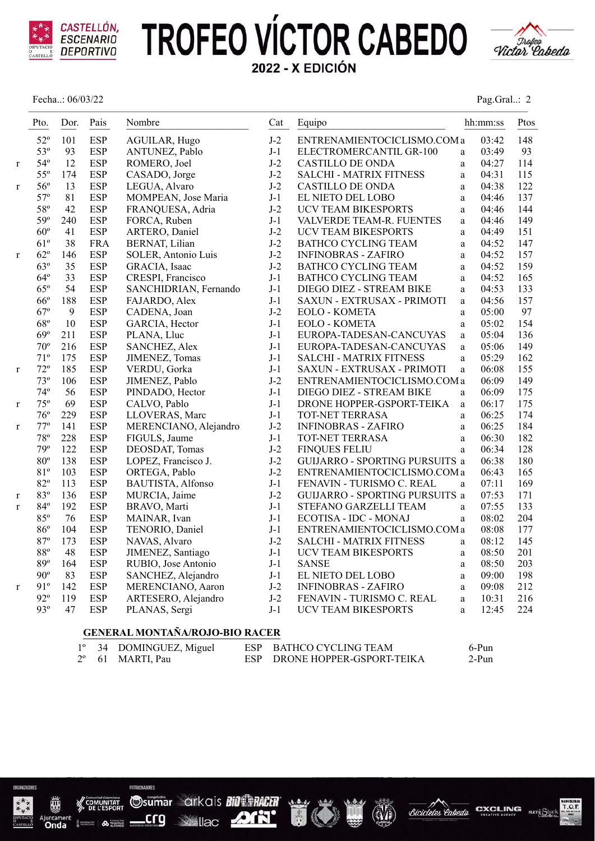

Fecha..: 06/03/22



| Pag.Gral: 2 |  |
|-------------|--|
|             |  |

|              | Pto.            | Dor. | Pais       | Nombre                | Cat   | Equipo                                     | hh:mm:ss | Ptos |
|--------------|-----------------|------|------------|-----------------------|-------|--------------------------------------------|----------|------|
|              | $52^{\circ}$    | 101  | <b>ESP</b> | AGUILAR, Hugo         | $J-2$ | ENTRENAMIENTOCICLISMO.COM a                | 03:42    | 148  |
|              | $53^\circ$      | 93   | <b>ESP</b> | ANTUNEZ, Pablo        | $J-1$ | ELECTROMERCANTIL GR-100<br>a               | 03:49    | 93   |
| r            | $54^{\circ}$    | 12   | <b>ESP</b> | ROMERO, Joel          | $J-2$ | CASTILLO DE ONDA<br>a                      | 04:27    | 114  |
|              | $55^{\circ}$    | 174  | <b>ESP</b> | CASADO, Jorge         | $J-2$ | <b>SALCHI - MATRIX FITNESS</b><br>a        | 04:31    | 115  |
| r            | $56^{\circ}$    | 13   | <b>ESP</b> | LEGUA, Alvaro         | $J-2$ | <b>CASTILLO DE ONDA</b><br>a               | 04:38    | 122  |
|              | $57^{\circ}$    | 81   | <b>ESP</b> | MOMPEAN, Jose Maria   | $J-1$ | EL NIETO DEL LOBO<br>$\mathbf{a}$          | 04:46    | 137  |
|              | 58°             | 42   | <b>ESP</b> | FRANQUESA, Adria      | $J-2$ | <b>UCV TEAM BIKESPORTS</b><br>a            | 04:46    | 144  |
|              | 59 <sup>o</sup> | 240  | <b>ESP</b> | FORCA, Ruben          | $J-1$ | VALVERDE TEAM-R. FUENTES<br>a              | 04:46    | 149  |
|              | $60^{\circ}$    | 41   | <b>ESP</b> | ARTERO, Daniel        | $J-2$ | UCV TEAM BIKESPORTS<br>a                   | 04:49    | 151  |
|              | $61^{\circ}$    | 38   | <b>FRA</b> | BERNAT, Lilian        | $J-2$ | <b>BATHCO CYCLING TEAM</b><br>a            | 04:52    | 147  |
| r            | $62^{\circ}$    | 146  | <b>ESP</b> | SOLER, Antonio Luis   | $J-2$ | <b>INFINOBRAS - ZAFIRO</b><br>a            | 04:52    | 157  |
|              | 63°             | 35   | <b>ESP</b> | GRACIA, Isaac         | $J-2$ | <b>BATHCO CYCLING TEAM</b><br>a            | 04:52    | 159  |
|              | $64^{\circ}$    | 33   | <b>ESP</b> | CRESPI, Francisco     | $J-1$ | <b>BATHCO CYCLING TEAM</b><br>$\mathbf{a}$ | 04:52    | 165  |
|              | $65^{\circ}$    | 54   | <b>ESP</b> | SANCHIDRIAN, Fernando | $J-1$ | DIEGO DIEZ - STREAM BIKE<br>a              | 04:53    | 133  |
|              | $66^{\circ}$    | 188  | <b>ESP</b> | FAJARDO, Alex         | $J-1$ | SAXUN - EXTRUSAX - PRIMOTI<br>a            | 04:56    | 157  |
|              | $67^\circ$      | 9    | <b>ESP</b> | CADENA, Joan          | $J-2$ | EOLO - KOMETA<br>a                         | 05:00    | 97   |
|              | $68^{\circ}$    | 10   | <b>ESP</b> | GARCIA, Hector        | $J-1$ | <b>EOLO - KOMETA</b><br>a                  | 05:02    | 154  |
|              | $69^\circ$      | 211  | <b>ESP</b> | PLANA, Lluc           | $J-1$ | EUROPA-TADESAN-CANCUYAS<br>a               | 05:04    | 136  |
|              | $70^{\circ}$    | 216  | <b>ESP</b> | SANCHEZ, Alex         | $J-1$ | EUROPA-TADESAN-CANCUYAS<br>a               | 05:06    | 149  |
|              | $71^{\circ}$    | 175  | <b>ESP</b> | JIMENEZ, Tomas        | $J-1$ | <b>SALCHI - MATRIX FITNESS</b><br>a        | 05:29    | 162  |
| r            | $72^{\circ}$    | 185  | <b>ESP</b> | VERDU, Gorka          | $J-1$ | SAXUN - EXTRUSAX - PRIMOTI<br>a            | 06:08    | 155  |
|              | $73^{\circ}$    | 106  | <b>ESP</b> | JIMENEZ, Pablo        | $J-2$ | ENTRENAMIENTOCICLISMO.COM a                | 06:09    | 149  |
|              | $74^{\circ}$    | 56   | <b>ESP</b> | PINDADO, Hector       | $J-1$ | DIEGO DIEZ - STREAM BIKE<br>$\mathbf{a}$   | 06:09    | 175  |
| r            | $75^{\circ}$    | 69   | <b>ESP</b> | CALVO, Pablo          | $J-1$ | DRONE HOPPER-GSPORT-TEIKA<br>a             | 06:17    | 175  |
|              | $76^{\circ}$    | 229  | <b>ESP</b> | LLOVERAS, Marc        | $J-1$ | TOT-NET TERRASA<br>a                       | 06:25    | 174  |
| $\mathbf{r}$ | $77^{\circ}$    | 141  | <b>ESP</b> | MERENCIANO, Alejandro | $J-2$ | <b>INFINOBRAS - ZAFIRO</b><br>$\mathbf{a}$ | 06:25    | 184  |
|              | $78^{\circ}$    | 228  | <b>ESP</b> | FIGULS, Jaume         | $J-1$ | TOT-NET TERRASA<br>a                       | 06:30    | 182  |
|              | 79 <sup>o</sup> | 122  | <b>ESP</b> | DEOSDAT, Tomas        | $J-2$ | <b>FINQUES FELIU</b><br>$\mathbf{a}$       | 06:34    | 128  |
|              | $80^{\circ}$    | 138  | <b>ESP</b> | LOPEZ, Francisco J.   | $J-2$ | GUIJARRO - SPORTING PURSUITS a             | 06:38    | 180  |
|              | 81°             | 103  | <b>ESP</b> | ORTEGA, Pablo         | $J-2$ | ENTRENAMIENTOCICLISMO.COM a                | 06:43    | 165  |
|              | $82^{\circ}$    | 113  | <b>ESP</b> | BAUTISTA, Alfonso     | $J-1$ | FENAVIN - TURISMO C. REAL<br>a             | 07:11    | 169  |
| r            | 83°             | 136  | <b>ESP</b> | MURCIA, Jaime         | $J-2$ | GUIJARRO - SPORTING PURSUITS a             | 07:53    | 171  |
| r            | $84^\circ$      | 192  | <b>ESP</b> | BRAVO, Marti          | $J-1$ | STEFANO GARZELLI TEAM<br>a                 | 07:55    | 133  |
|              | 85°             | 76   | <b>ESP</b> | MAINAR, Ivan          | $J-1$ | ECOTISA - IDC - MONAJ<br>a                 | 08:02    | 204  |
|              | 86°             | 104  | <b>ESP</b> | TENORIO, Daniel       | $J-1$ | ENTRENAMIENTOCICLISMO.COM a                | 08:08    | 177  |
|              | 87°             | 173  | <b>ESP</b> | NAVAS, Alvaro         | $J-2$ | <b>SALCHI - MATRIX FITNESS</b><br>a        | 08:12    | 145  |
|              | $88^{\circ}$    | 48   | <b>ESP</b> | JIMENEZ, Santiago     | $J-1$ | <b>UCV TEAM BIKESPORTS</b><br>a            | 08:50    | 201  |
|              | 89°             | 164  | <b>ESP</b> | RUBIO, Jose Antonio   | $J-1$ | <b>SANSE</b><br>$\mathbf a$                | 08:50    | 203  |
|              | $90^\circ$      | 83   | <b>ESP</b> | SANCHEZ, Alejandro    | $J-1$ | EL NIETO DEL LOBO<br>a                     | 09:00    | 198  |
| r            | 91°             | 142  | <b>ESP</b> | MERENCIANO, Aaron     | $J-2$ | <b>INFINOBRAS - ZAFIRO</b><br>a            | 09:08    | 212  |
|              | $92^{\circ}$    | 119  | <b>ESP</b> | ARTESERO, Alejandro   | $J-2$ | FENAVIN - TURISMO C. REAL<br>a             | 10:31    | 216  |
|              | 93°             | 47   | <b>ESP</b> | PLANAS, Sergi         | $J-1$ | UCV TEAM BIKESPORTS<br>a                   | 12:45    | 224  |

#### **GENERAL MONTAÑA/ROJO-BIO RACER**

|  | $1^{\circ}$ 34 DOMINGUEZ, Miguel | ESP BATHCO CYCLING TEAM       | 6-Pun |
|--|----------------------------------|-------------------------------|-------|
|  | 2 <sup>°</sup> 61 MARTI, Pau     | ESP DRONE HOPPER-GSPORT-TEIKA | 2-Pun |



Onda

**Sumar arkais Bill MACH**<br>
<u>Crg</u> M<sub>ilac</sub> ATH crg **See Ilac** 

PATROPRADORES





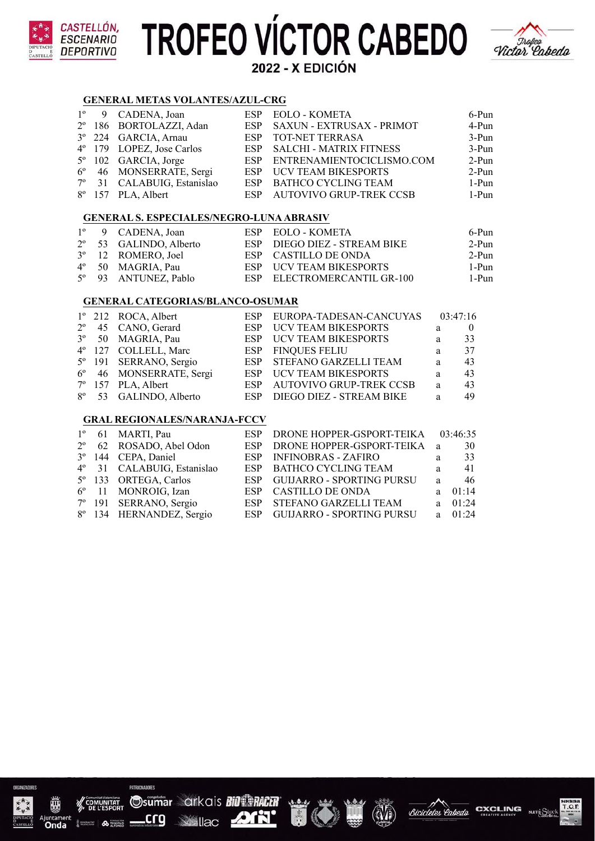

#### **GENERAL METAS VOLANTES/AZUL-CRG**

**:ASTELLÓN,** 

ESCENARIO **DEPORTIVO** 

|  | $1^{\circ}$ 9 CADENA, Joan    | ESP EOLO - KOMETA             | $6-Pun$ |
|--|-------------------------------|-------------------------------|---------|
|  | 2º 186 BORTOLAZZI, Adan       | ESP SAXUN - EXTRUSAX - PRIMOT | 4-Pun   |
|  | 3° 224 GARCIA, Arnau          | ESP TOT-NET TERRASA           | $3-Pun$ |
|  | 4° 179 LOPEZ, Jose Carlos     | ESP SALCHI - MATRIX FITNESS   | $3-Pun$ |
|  | $5^{\circ}$ 102 GARCIA, Jorge | ESP ENTRENAMIENTOCICLISMO.COM | $2-Pun$ |
|  | 6° 46 MONSERRATE, Sergi       | ESP UCV TEAM BIKESPORTS       | $2-Pun$ |
|  | 7º 31 CALABUIG, Estanislao    | ESP BATHCO CYCLING TEAM       | 1-Pun   |
|  | 8° 157 PLA, Albert            | ESP AUTOVIVO GRUP-TREK CCSB   | 1-Pun   |

#### **GENERAL S. ESPECIALES/NEGRO-LUNA ABRASIV**

|  | $1^{\circ}$ 9 CADENA, Joan  | ESP EOLO - KOMETA            | 6-Pun |
|--|-----------------------------|------------------------------|-------|
|  | 2° 53 GALINDO, Alberto      | ESP DIEGO DIEZ - STREAM BIKE | 2-Pun |
|  | $3^{\circ}$ 12 ROMERO, Joel | ESP CASTILLO DE ONDA         | 2-Pun |
|  | $4^{\circ}$ 50 MAGRIA, Pau  | ESP UCV TEAM BIKESPORTS      | 1-Pun |
|  | 5° 93 ANTUNEZ, Pablo        | ESP ELECTROMERCANTIL GR-100  | 1-Pun |

### **GENERAL CATEGORIAS/BLANCO-OSUMAR**

|  | $1^{\circ}$ 212 ROCA, Albert       | ESP EUROPA-TADESAN-CANCUYAS  |   | 03:47:16 |
|--|------------------------------------|------------------------------|---|----------|
|  | $2^{\circ}$ 45 CANO, Gerard        | ESP UCV TEAM BIKESPORTS      | a | $\theta$ |
|  | 3 <sup>°</sup> 50 MAGRIA, Pau      | ESP UCV TEAM BIKESPORTS      | a | 33       |
|  | 4° 127 COLLELL, Marc               | ESP FINQUES FELIU            | a | 37       |
|  | 5 <sup>°</sup> 191 SERRANO, Sergio | ESP STEFANO GARZELLI TEAM    | a | 43       |
|  | 6° 46 MONSERRATE, Sergi            | ESP UCV TEAM BIKESPORTS      | a | 43       |
|  | $7^{\circ}$ 157 PLA, Albert        | ESP AUTOVIVO GRUP-TREK CCSB  | a | 43       |
|  | 8° 53 GALINDO, Alberto             | ESP DIEGO DIEZ - STREAM BIKE | a | 49       |
|  |                                    |                              |   |          |

### **GRAL REGIONALES/NARANJA-FCCV**

|  | $1^{\circ}$ 61 MARTI, Pau          | ESP DRONE HOPPER-GSPORT-TEIKA 03:46:35 |    |           |
|--|------------------------------------|----------------------------------------|----|-----------|
|  | 2° 62 ROSADO, Abel Odon            | ESP DRONE HOPPER-GSPORT-TEIKA a        |    | 30        |
|  | 3° 144 CEPA, Daniel                | ESP INFINOBRAS - ZAFIRO                | a  | 33        |
|  | 4º 31 CALABUIG, Estanislao         | ESP BATHCO CYCLING TEAM                | a. | 41        |
|  | 5 <sup>°</sup> 133 ORTEGA, Carlos  | ESP GUIJARRO - SPORTING PURSU          | a. | -46       |
|  | 6 <sup>°</sup> 11 MONROIG, Izan    | ESP CASTILLO DE ONDA                   | a. | 01:14     |
|  | 7 <sup>°</sup> 191 SERRANO, Sergio | ESP STEFANO GARZELLI TEAM              | a. | 01:24     |
|  | 8° 134 HERNANDEZ, Sergio           | ESP GUIJARRO - SPORTING PURSU          |    | a $01.24$ |



 $\frac{1}{2}$  and  $\frac{1}{2}$  . <br> <br>  $\bullet$  . <br> <br> <br> <br> <br> <br> <br> <br> <br><br><br><br><br><br>







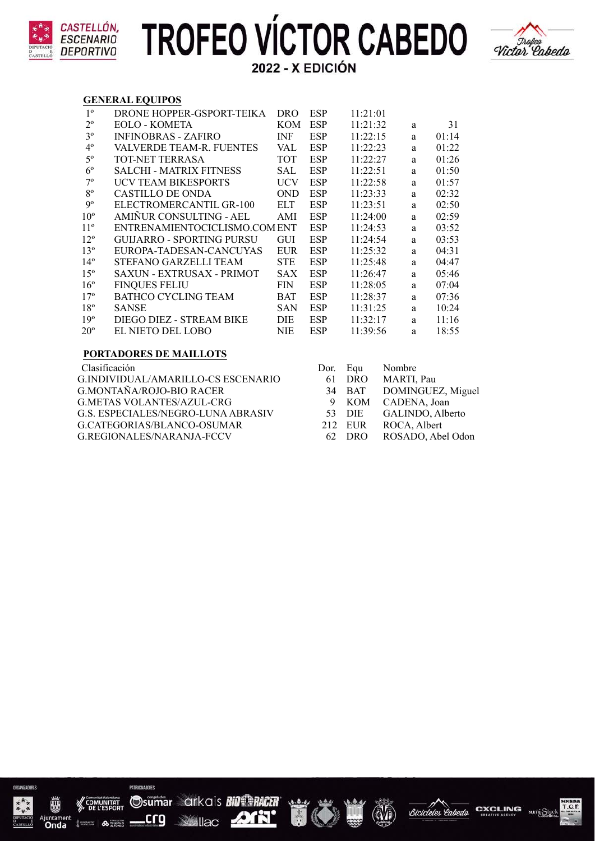



#### **GENERAL EQUIPOS**

| $1^{\circ}$     | DRONE HOPPER-GSPORT-TEIKA      | <b>DRO</b> | <b>ESP</b> | 11:21:01 |    |       |
|-----------------|--------------------------------|------------|------------|----------|----|-------|
| $2^{\circ}$     | EOLO - KOMETA                  | <b>KOM</b> | <b>ESP</b> | 11:21:32 | a  | 31    |
| 3 <sup>o</sup>  | <b>INFINOBRAS - ZAFIRO</b>     | <b>INF</b> | <b>ESP</b> | 11:22:15 | a  | 01:14 |
| $4^{\circ}$     | VALVERDE TEAM-R. FUENTES       | VAL.       | <b>ESP</b> | 11:22:23 | a. | 01:22 |
| $5^{\circ}$     | TOT-NET TERRASA                | <b>TOT</b> | <b>ESP</b> | 11:22:27 | a  | 01:26 |
| $6^{\circ}$     | <b>SALCHI - MATRIX FITNESS</b> | SAL        | <b>ESP</b> | 11:22:51 | a  | 01:50 |
| $7^{\circ}$     | <b>UCV TEAM BIKESPORTS</b>     | <b>UCV</b> | <b>ESP</b> | 11:22:58 | a  | 01:57 |
| $8^{\circ}$     | CASTILLO DE ONDA               | <b>OND</b> | <b>ESP</b> | 11:23:33 | a  | 02:32 |
| $9^{\circ}$     | ELECTROMERCANTIL GR-100        | <b>ELT</b> | <b>ESP</b> | 11:23:51 | a  | 02:50 |
| $10^{\circ}$    | AMIÑUR CONSULTING - AEL        | AMI        | <b>ESP</b> | 11:24:00 | a  | 02:59 |
| $11^{\circ}$    | ENTRENAMIENTOCICLISMO.COM ENT  |            | <b>ESP</b> | 11:24:53 | a  | 03:52 |
| $12^{\circ}$    | GULIARRO - SPORTING PURSU      | <b>GUI</b> | <b>ESP</b> | 11:24:54 | a  | 03:53 |
| $13^{\circ}$    | EUROPA-TADESAN-CANCUYAS        | <b>EUR</b> | <b>ESP</b> | 11:25:32 | a  | 04:31 |
| 14 <sup>°</sup> | STEFANO GARZELLI TEAM          | <b>STE</b> | <b>ESP</b> | 11:25:48 | a  | 04:47 |
| $15^{\circ}$    | SAXUN - EXTRUSAX - PRIMOT      | <b>SAX</b> | <b>ESP</b> | 11:26:47 | a  | 05:46 |
| $16^{\circ}$    | <b>FINQUES FELIU</b>           | <b>FIN</b> | <b>ESP</b> | 11:28:05 | a  | 07:04 |
| 17 <sup>°</sup> | BATHCO CYCLING TEAM            | <b>BAT</b> | <b>ESP</b> | 11:28:37 | a  | 07:36 |
| $18^{\circ}$    | <b>SANSE</b>                   | <b>SAN</b> | <b>ESP</b> | 11:31:25 | a  | 10:24 |
| 19 <sup>°</sup> | DIEGO DIEZ - STREAM BIKE       | DIE        | <b>ESP</b> | 11:32:17 | a  | 11:16 |
| $20^{\circ}$    | EL NIETO DEL LOBO              | NIE        | <b>ESP</b> | 11:39:56 | a  | 18:55 |
|                 |                                |            |            |          |    |       |

### **PORTADORES DE MAILLOTS**

Clasificación G.INDIVIDUAL/AMARILLO-CS ESCENARIO G.MONTAÑA/ROJO-BIO RACER G.METAS VOLANTES/AZUL-CRG G.S. ESPECIALES/NEGRO-LUNA ABRASIV G.CATEGORIAS/BLANCO-OSUMAR G.REGIONALES/NARANJA-FCCV

| Dor. Equ |            | Nombre            |
|----------|------------|-------------------|
| 61       | <b>DRO</b> | MARTI, Pau        |
| 34       | <b>BAT</b> | DOMINGUEZ, Miguel |
| 9        | <b>KOM</b> | CADENA, Joan      |
| 53.      | DIE.       | GALINDO, Alberto  |
|          | 212 EUR    | ROCA, Albert      |
| 62.      | DRO        | ROSADO, Abel Odon |



顽

<sub>uncame</sub><br>**Onda** 

 $\frac{1}{2}$ 

PATROPRADORES

Lcrg









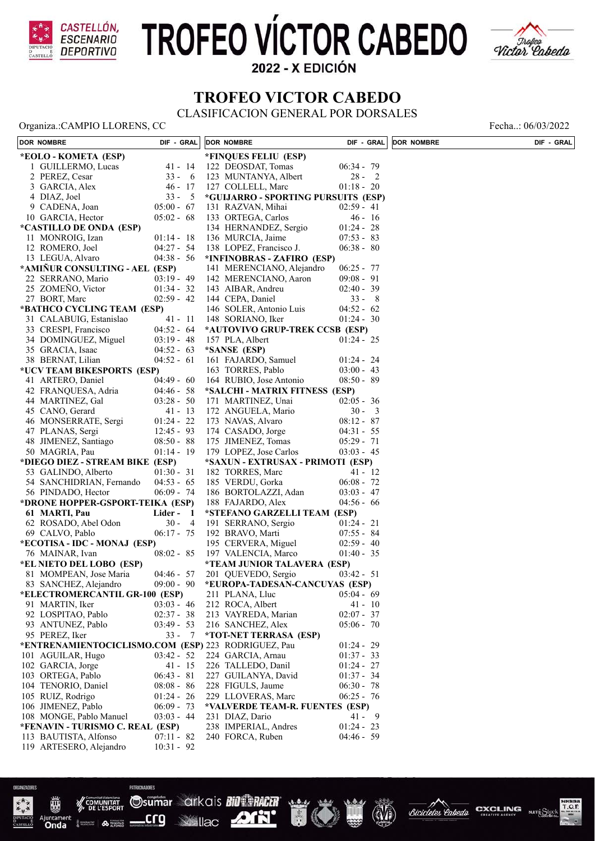

# **TROFEO VÍCTOR CABEDO**



2022 - X EDICIÓN

### **TROFEO VICTOR CABEDO**

CLASIFICACION GENERAL POR DORSALES

Organiza.:CAMPIO LLORENS, CC<br>
Fecha..: 06/03/2022

| DOR NOMBRE                                          | DIF - GRAL     | <b>DOR NOMBRE</b>                   | DIF - GRAL   | <b>DOR NOMBRE</b> | DIF - GRAL |
|-----------------------------------------------------|----------------|-------------------------------------|--------------|-------------------|------------|
| *EOLO - KOMETA (ESP)                                |                | *FINQUES FELIU (ESP)                |              |                   |            |
| 1 GUILLERMO, Lucas                                  | $41 - 14$      | 122 DEOSDAT, Tomas                  | $06:34 - 79$ |                   |            |
| 2 PEREZ, Cesar                                      | $33 - 6$       | 123 MUNTANYA, Albert                | $28 - 2$     |                   |            |
| 3 GARCIA, Alex                                      | $46 - 17$      | 127 COLLELL, Marc                   | $01:18 - 20$ |                   |            |
| 4 DIAZ, Joel                                        | $33 - 5$       | *GUIJARRO - SPORTING PURSUITS (ESP) |              |                   |            |
| 9 CADENA, Joan                                      | $05:00 - 67$   | 131 RAZVAN, Mihai                   | $02:59 - 41$ |                   |            |
| 10 GARCIA, Hector                                   | $05:02 - 68$   | 133 ORTEGA, Carlos                  | $46 - 16$    |                   |            |
| <i>*CASTILLO DE ONDA (ESP)</i>                      |                | 134 HERNANDEZ, Sergio               | $01:24 - 28$ |                   |            |
| 11 MONROIG, Izan                                    | $01:14 - 18$   | 136 MURCIA, Jaime                   | $07:53 - 83$ |                   |            |
| 12 ROMERO, Joel                                     | $04:27 - 54$   | 138 LOPEZ, Francisco J.             | $06:38 - 80$ |                   |            |
| 13 LEGUA, Alvaro                                    | $04:38 - 56$   | *INFINOBRAS - ZAFIRO (ESP)          |              |                   |            |
| *AMIÑUR CONSULTING - AEL (ESP)                      |                | 141 MERENCIANO, Alejandro           | $06:25 - 77$ |                   |            |
| 22 SERRANO, Mario                                   | $03:19 - 49$   | 142 MERENCIANO, Aaron               | $09:08 - 91$ |                   |            |
| 25 ZOMEÑO, Victor                                   | $01:34 - 32$   | 143 AIBAR, Andreu                   | $02:40 - 39$ |                   |            |
| 27 BORT, Marc                                       | $02:59 - 42$   | 144 CEPA, Daniel                    | $33 - 8$     |                   |            |
| *BATHCO CYCLING TEAM (ESP)                          |                | 146 SOLER, Antonio Luis             | $04:52 - 62$ |                   |            |
| 31 CALABUIG, Estanislao                             | $41 - 11$      | 148 SORIANO, Iker                   | $01:24 - 30$ |                   |            |
| 33 CRESPI, Francisco                                | $04:52 - 64$   | *AUTOVIVO GRUP-TREK CCSB (ESP)      |              |                   |            |
| 34 DOMINGUEZ, Miguel                                | $03:19 - 48$   | 157 PLA, Albert                     | $01:24 - 25$ |                   |            |
| 35 GRACIA, Isaac                                    | $04:52 - 63$   | *SANSE (ESP)                        |              |                   |            |
| 38 BERNAT, Lilian                                   | $04:52 - 61$   | 161 FAJARDO, Samuel                 | $01:24 - 24$ |                   |            |
| *UCV TEAM BIKESPORTS (ESP)                          |                | 163 TORRES, Pablo                   | $03:00 - 43$ |                   |            |
| 41 ARTERO, Daniel                                   | $04:49 - 60$   | 164 RUBIO, Jose Antonio             | $08:50 - 89$ |                   |            |
| 42 FRANQUESA, Adria                                 | $04:46 - 58$   | *SALCHI - MATRIX FITNESS (ESP)      |              |                   |            |
| 44 MARTINEZ, Gal                                    | $03:28 - 50$   | 171 MARTINEZ, Unai                  | $02:05 - 36$ |                   |            |
| 45 CANO, Gerard                                     | $41 - 13$      | 172 ANGUELA, Mario                  | $30 - 3$     |                   |            |
| 46 MONSERRATE, Sergi                                | $01:24 - 22$   | 173 NAVAS, Alvaro                   | $08:12 - 87$ |                   |            |
| 47 PLANAS, Sergi                                    | $12:45 - 93$   | 174 CASADO, Jorge                   | $04:31 - 55$ |                   |            |
| 48 JIMENEZ, Santiago                                | $08:50 - 88$   | 175 JIMENEZ, Tomas                  | $05:29 - 71$ |                   |            |
| 50 MAGRIA, Pau                                      | $01:14 - 19$   | 179 LOPEZ, Jose Carlos              | $03:03 - 45$ |                   |            |
| *DIEGO DIEZ - STREAM BIKE (ESP)                     |                | *SAXUN - EXTRUSAX - PRIMOTI (ESP)   |              |                   |            |
| 53 GALINDO, Alberto                                 | $01:30 - 31$   | 182 TORRES, Marc                    | $41 - 12$    |                   |            |
| 54 SANCHIDRIAN, Fernando                            | $04:53 - 65$   | 185 VERDU, Gorka                    | $06:08 - 72$ |                   |            |
| 56 PINDADO, Hector                                  | $06:09 - 74$   | 186 BORTOLAZZI, Adan                | $03:03 - 47$ |                   |            |
| *DRONE HOPPER-GSPORT-TEIKA (ESP)                    |                | 188 FAJARDO, Alex                   | $04:56 - 66$ |                   |            |
| 61 MARTI, Pau                                       | Lider -<br>- 1 | *STEFANO GARZELLI TEAM (ESP)        |              |                   |            |
| 62 ROSADO, Abel Odon                                | $30 -$<br>-4   | 191 SERRANO, Sergio                 | $01:24 - 21$ |                   |            |
| 69 CALVO, Pablo                                     | $06:17 - 75$   | 192 BRAVO, Marti                    | $07:55 - 84$ |                   |            |
| *ECOTISA - IDC - MONAJ (ESP)                        |                | 195 CERVERA, Miguel                 | $02:59 - 40$ |                   |            |
| 76 MAINAR, Ivan                                     | $08:02 - 85$   | 197 VALENCIA, Marco                 | $01:40 - 35$ |                   |            |
| *EL NIETO DEL LOBO (ESP)                            |                | *TEAM JUNIOR TALAVERA (ESP)         |              |                   |            |
| 81 MOMPEAN, Jose Maria                              | $04:46 - 57$   | 201 QUEVEDO, Sergio                 | $03:42 - 51$ |                   |            |
| 83 SANCHEZ, Alejandro                               | $09:00 - 90$   | *EUROPA-TADESAN-CANCUYAS (ESP)      |              |                   |            |
| *ELECTROMERCANTIL GR-100 (ESP)                      |                | 211 PLANA, Lluc                     | $05:04 - 69$ |                   |            |
| 91 MARTIN, Iker                                     | $03:03 - 46$   | 212 ROCA, Albert                    | $41 - 10$    |                   |            |
| 92 LOSPITAO, Pablo                                  | $02:37 - 38$   | 213 VAYREDA, Marian                 | $02:07 - 37$ |                   |            |
| 93 ANTUNEZ, Pablo                                   | $03:49 - 53$   | 216 SANCHEZ, Alex                   | $05:06 - 70$ |                   |            |
| 95 PEREZ, Iker                                      | $33 - 7$       | *TOT-NET TERRASA (ESP)              |              |                   |            |
| *ENTRENAMIENTOCICLISMO.COM (ESP) 223 RODRIGUEZ, Pau |                |                                     | $01:24 - 29$ |                   |            |
| 101 AGUILAR, Hugo                                   | $03:42 - 52$   | 224 GARCIA, Arnau                   | $01:37 - 33$ |                   |            |
| 102 GARCIA, Jorge                                   | $41 - 15$      | 226 TALLEDO, Danil                  | $01:24 - 27$ |                   |            |
| 103 ORTEGA, Pablo                                   | $06:43 - 81$   | 227 GUILANYA, David                 | $01:37 - 34$ |                   |            |
| 104 TENORIO, Daniel                                 | $08:08 - 86$   | 228 FIGULS, Jaume                   | $06:30 - 78$ |                   |            |
| 105 RUIZ, Rodrigo                                   | $01:24 - 26$   | 229 LLOVERAS, Marc                  | $06:25 - 76$ |                   |            |
| 106 JIMENEZ, Pablo                                  | $06:09 - 73$   | *VALVERDE TEAM-R. FUENTES (ESP)     |              |                   |            |
| 108 MONGE, Pablo Manuel                             | $03:03 - 44$   | 231 DIAZ, Dario                     | $41 - 9$     |                   |            |
| *FENAVIN - TURISMO C. REAL (ESP)                    |                | 238 IMPERIAL, Andres                | $01:24 - 23$ |                   |            |
| 113 BAUTISTA, Alfonso                               | $07:11 - 82$   | 240 FORCA, Ruben                    | $04:46 - 59$ |                   |            |
| 119 ARTESERO, Alejandro                             | $10:31 - 92$   |                                     |              |                   |            |

TO

Bicicletes

Popode

Osumar arkais BiO PACER

crq

**B** serves

Onda

**DON'T**